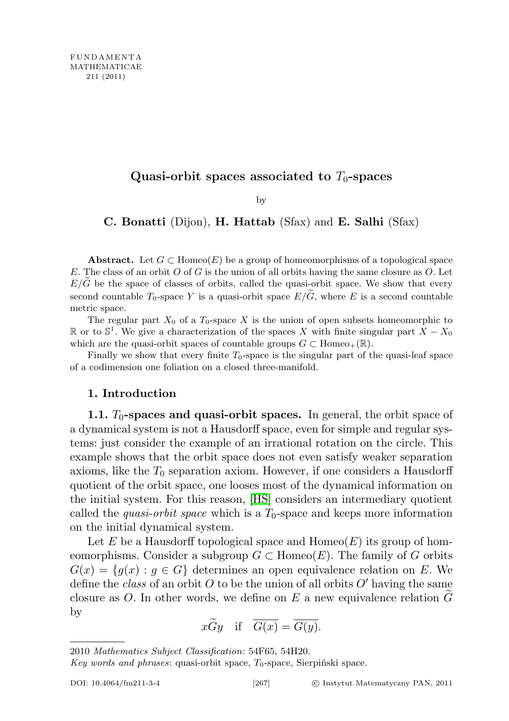# Quasi-orbit spaces associated to  $T_0$ -spaces

by

### C. Bonatti (Dijon), H. Hattab (Sfax) and E. Salhi (Sfax)

Abstract. Let  $G \subset \text{Homeo}(E)$  be a group of homeomorphisms of a topological space E. The class of an orbit  $O$  of  $G$  is the union of all orbits having the same closure as  $O$ . Let  $E/\tilde{G}$  be the space of classes of orbits, called the quasi-orbit space. We show that every second countable  $T_0$ -space Y is a quasi-orbit space  $E/\widetilde{G}$ , where E is a second countable metric space.

The regular part  $X_0$  of a  $T_0$ -space X is the union of open subsets homeomorphic to R or to  $\mathbb{S}^1$ . We give a characterization of the spaces X with finite singular part  $X - X_0$ which are the quasi-orbit spaces of countable groups  $G \subset \text{Homeo}_+(\mathbb{R})$ .

Finally we show that every finite  $T_0$ -space is the singular part of the quasi-leaf space of a codimension one foliation on a closed three-manifold.

### 1. Introduction

1.1.  $T_0$ -spaces and quasi-orbit spaces. In general, the orbit space of a dynamical system is not a Hausdorff space, even for simple and regular systems: just consider the example of an irrational rotation on the circle. This example shows that the orbit space does not even satisfy weaker separation axioms, like the  $T_0$  separation axiom. However, if one considers a Hausdorff quotient of the orbit space, one looses most of the dynamical information on the initial system. For this reason, [\[HS\]](#page-24-0) considers an intermediary quotient called the *quasi-orbit space* which is a  $T_0$ -space and keeps more information on the initial dynamical system.

Let E be a Hausdorff topological space and  $\text{Homeo}(E)$  its group of homeomorphisms. Consider a subgroup  $G \subset \text{Homeo}(E)$ . The family of G orbits  $G(x) = \{q(x) : q \in G\}$  determines an open equivalence relation on E. We define the class of an orbit O to be the union of all orbits  $O'$  having the same closure as  $O$ . In other words, we define on E a new equivalence relation  $G$ by

$$
x\widetilde{G}y
$$
 if  $\overline{G(x)} = \overline{G(y)}$ .

2010 Mathematics Subject Classification: 54F65, 54H20.

Key words and phrases: quasi-orbit space,  $T_0$ -space, Sierpiński space.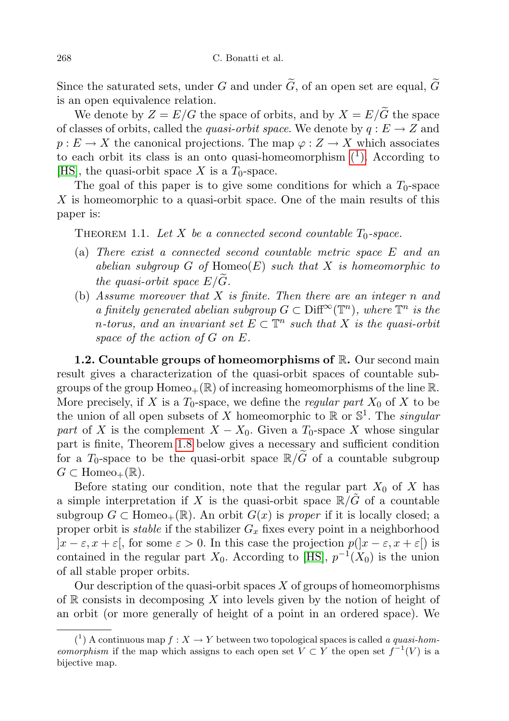Since the saturated sets, under G and under  $\widetilde{G}$ , of an open set are equal,  $\widetilde{G}$ is an open equivalence relation.

We denote by  $Z = E/G$  the space of orbits, and by  $X = E/\widetilde{G}$  the space of classes of orbits, called the *quasi-orbit space*. We denote by  $q : E \to Z$  and  $p: E \to X$  the canonical projections. The map  $\varphi: Z \to X$  which associates to each orbit its class is an onto quasi-homeomorphism  $(1)$ . According to [\[HS\]](#page-24-0), the quasi-orbit space X is a  $T_0$ -space.

The goal of this paper is to give some conditions for which a  $T_0$ -space X is homeomorphic to a quasi-orbit space. One of the main results of this paper is:

<span id="page-1-1"></span>THEOREM 1.1. Let X be a connected second countable  $T_0$ -space.

- (a) There exist a connected second countable metric space E and an abelian subgroup  $G$  of  $Homeo(E)$  such that  $X$  is homeomorphic to the quasi-orbit space  $E/G$ .
- (b) Assume moreover that  $X$  is finite. Then there are an integer n and a finitely generated abelian subgroup  $G \subset \text{Diff}^{\infty}(\mathbb{T}^n)$ , where  $\mathbb{T}^n$  is the n-torus, and an invariant set  $E \subset \mathbb{T}^n$  such that X is the quasi-orbit space of the action of G on E.

1.2. Countable groups of homeomorphisms of  $\mathbb{R}$ . Our second main result gives a characterization of the quasi-orbit spaces of countable subgroups of the group  $Homeo_+(\mathbb{R})$  of increasing homeomorphisms of the line  $\mathbb{R}$ . More precisely, if X is a  $T_0$ -space, we define the *regular part*  $X_0$  of X to be the union of all open subsets of X homeomorphic to  $\mathbb{R}$  or  $\mathbb{S}^1$ . The *singular* part of X is the complement  $X - X_0$ . Given a  $T_0$ -space X whose singular part is finite, Theorem [1.8](#page-4-0) below gives a necessary and sufficient condition for a  $T_0$ -space to be the quasi-orbit space  $\mathbb{R}/\tilde{G}$  of a countable subgroup  $G \subset \text{Homeo}_+(\mathbb{R})$ .

Before stating our condition, note that the regular part  $X_0$  of X has a simple interpretation if X is the quasi-orbit space  $\mathbb{R}/G$  of a countable subgroup  $G \subset \text{Homeo}_+(\mathbb{R})$ . An orbit  $G(x)$  is proper if it is locally closed; a proper orbit is *stable* if the stabilizer  $G_x$  fixes every point in a neighborhood  $|x-\varepsilon, x+\varepsilon|$ , for some  $\varepsilon > 0$ . In this case the projection  $p(|x-\varepsilon, x+\varepsilon|)$  is contained in the regular part  $X_0$ . According to [\[HS\]](#page-24-0),  $p^{-1}(X_0)$  is the union of all stable proper orbits.

Our description of the quasi-orbit spaces  $X$  of groups of homeomorphisms of  $\mathbb R$  consists in decomposing X into levels given by the notion of height of an orbit (or more generally of height of a point in an ordered space). We

<span id="page-1-0"></span><sup>(&</sup>lt;sup>1</sup>) A continuous map  $f: X \to Y$  between two topological spaces is called a quasi-hom*eomorphism* if the map which assigns to each open set  $V \subset Y$  the open set  $f^{-1}(V)$  is a bijective map.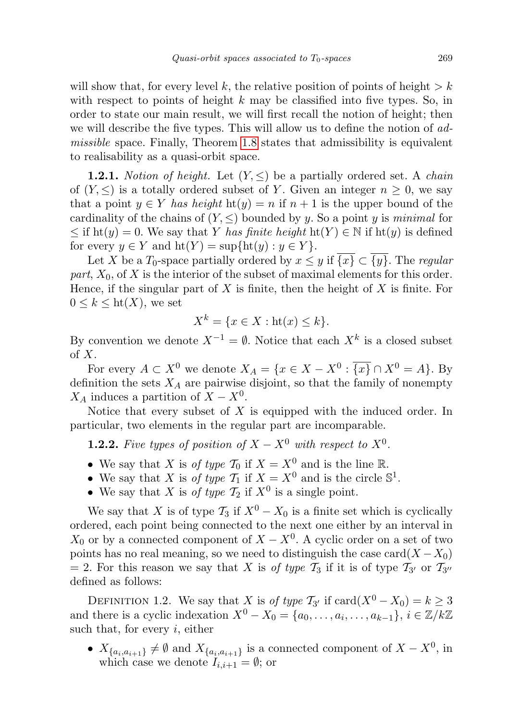will show that, for every level k, the relative position of points of height  $\geq k$ with respect to points of height  $k$  may be classified into five types. So, in order to state our main result, we will first recall the notion of height; then we will describe the five types. This will allow us to define the notion of admissible space. Finally, Theorem [1.8](#page-4-0) states that admissibility is equivalent to realisability as a quasi-orbit space.

**1.2.1.** Notion of height. Let  $(Y, \leq)$  be a partially ordered set. A chain of  $(Y, \leq)$  is a totally ordered subset of Y. Given an integer  $n \geq 0$ , we say that a point  $y \in Y$  has height  $ht(y) = n$  if  $n + 1$  is the upper bound of the cardinality of the chains of  $(Y, \leq)$  bounded by y. So a point y is minimal for  $\leq$  if ht(y) = 0. We say that Y has finite height ht(Y)  $\in$  N if ht(y) is defined for every  $y \in Y$  and  $\mathrm{ht}(Y) = \sup{\{\mathrm{ht}(y) : y \in Y\}}$ .

Let X be a  $T_0$ -space partially ordered by  $x \leq y$  if  $\overline{\{x\}} \subset \overline{\{y\}}$ . The regular part,  $X_0$ , of X is the interior of the subset of maximal elements for this order. Hence, if the singular part of  $X$  is finite, then the height of  $X$  is finite. For  $0 \leq k \leq \text{ht}(X)$ , we set

$$
X^k = \{ x \in X : \text{ht}(x) \le k \}.
$$

By convention we denote  $X^{-1} = \emptyset$ . Notice that each  $X^k$  is a closed subset of X.

For every  $A \subset X^0$  we denote  $X_A = \{x \in X - X^0 : \overline{\{x\}} \cap X^0 = A\}$ . By definition the sets  $X_A$  are pairwise disjoint, so that the family of nonempty  $X_A$  induces a partition of  $X - X^0$ .

Notice that every subset of  $X$  is equipped with the induced order. In particular, two elements in the regular part are incomparable.

**1.2.2.** Five types of position of  $X - X^0$  with respect to  $X^0$ .

- We say that X is of type  $\mathcal{T}_0$  if  $X = X^0$  and is the line R.
- We say that X is of type  $\mathcal{T}_1$  if  $X = X^0$  and is the circle  $\mathbb{S}^1$ .
- We say that X is *of type*  $\mathcal{T}_2$  if  $X^0$  is a single point.

We say that X is of type  $\mathcal{T}_3$  if  $X^0 - X_0$  is a finite set which is cyclically ordered, each point being connected to the next one either by an interval in  $X_0$  or by a connected component of  $X - X^0$ . A cyclic order on a set of two points has no real meaning, so we need to distinguish the case card $(X - X_0)$ = 2. For this reason we say that X is *of type*  $\mathcal{T}_3$  if it is of type  $\mathcal{T}_{3'}$  or  $\mathcal{T}_{3''}$ defined as follows:

DEFINITION 1.2. We say that X is of type  $\mathcal{T}_{3'}$  if  $\text{card}(X^0 - X_0) = k \geq 3$ and there is a cyclic indexation  $X^0 - X_0 = \{a_0, \ldots, a_i, \ldots, a_{k-1}\}, i \in \mathbb{Z}/k\mathbb{Z}$ such that, for every  $i$ , either

•  $X_{\{a_i, a_{i+1}\}} \neq \emptyset$  and  $X_{\{a_i, a_{i+1}\}}$  is a connected component of  $X - X^0$ , in which case we denote  $I_{i,i+1} = \emptyset$ ; or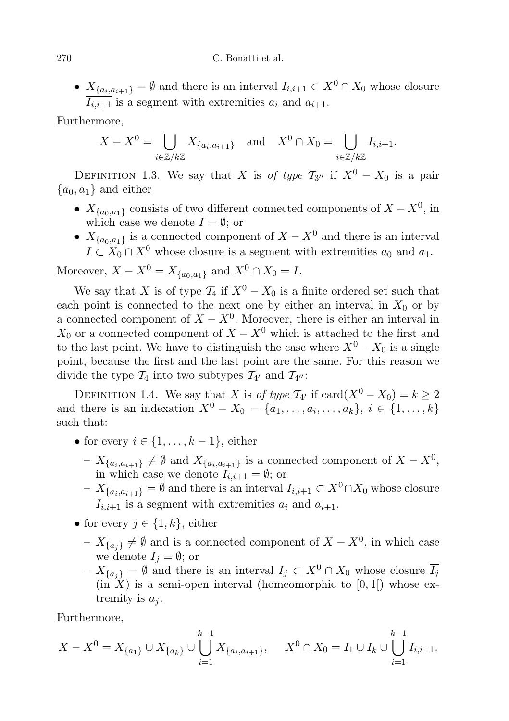•  $X_{\{a_i, a_{i+1}\}} = \emptyset$  and there is an interval  $I_{i,i+1} \subset X^0 \cap X_0$  whose closure  $\overline{I_{i,i+1}}$  is a segment with extremities  $a_i$  and  $a_{i+1}$ .

Furthermore,

$$
X - X^0 = \bigcup_{i \in \mathbb{Z}/k\mathbb{Z}} X_{\{a_i, a_{i+1}\}} \quad \text{and} \quad X^0 \cap X_0 = \bigcup_{i \in \mathbb{Z}/k\mathbb{Z}} I_{i, i+1}.
$$

DEFINITION 1.3. We say that X is of type  $T_{3''}$  if  $X^0 - X_0$  is a pair  ${a_0, a_1}$  and either

- $X_{\{a_0, a_1\}}$  consists of two different connected components of  $X X^0$ , in which case we denote  $I = \emptyset$ ; or
- $X_{\{a_0, a_1\}}$  is a connected component of  $X X^0$  and there is an interval  $I \subset X_0 \cap X^0$  whose closure is a segment with extremities  $a_0$  and  $a_1$ .

Moreover,  $X - X^0 = X_{\{a_0, a_1\}}$  and  $X^0 \cap X_0 = I$ .

We say that X is of type  $\mathcal{T}_4$  if  $X^0 - X_0$  is a finite ordered set such that each point is connected to the next one by either an interval in  $X_0$  or by a connected component of  $X - X^0$ . Moreover, there is either an interval in  $X_0$  or a connected component of  $X - X^0$  which is attached to the first and to the last point. We have to distinguish the case where  $X^0 - X_0$  is a single point, because the first and the last point are the same. For this reason we divide the type  $\mathcal{T}_4$  into two subtypes  $\mathcal{T}_{4}$  and  $\mathcal{T}_{4}$ .

DEFINITION 1.4. We say that X is of type  $\mathcal{T}_{4'}$  if  $\text{card}(X^0 - X_0) = k \geq 2$ and there is an indexation  $X^0 - X_0 = \{a_1, \ldots, a_i, \ldots, a_k\}, i \in \{1, \ldots, k\}$ such that:

- for every  $i \in \{1, \ldots, k-1\}$ , either
	- $X_{\{a_i, a_{i+1}\}} \neq \emptyset$  and  $X_{\{a_i, a_{i+1}\}}$  is a connected component of  $X X^0$ , in which case we denote  $I_{i,i+1} = \emptyset$ ; or
	- $X_{\{a_i, a_{i+1}\}}$  = ∅ and there is an interval  $I_{i,i+1}$  ⊂  $X^0 \cap X_0$  whose closure  $\overline{I_{i,i+1}}$  is a segment with extremities  $a_i$  and  $a_{i+1}$ .
- for every  $j \in \{1, k\}$ , either
	- $X_{\{a_j\}} \neq \emptyset$  and is a connected component of  $X X^0$ , in which case we denote  $I_j = \emptyset$ ; or
	- $X_{\{a_j\}} = \emptyset$  and there is an interval  $I_j \subset X^0 \cap X_0$  whose closure  $\overline{I}_j$  $(in X)$  is a semi-open interval (homeomorphic to  $[0, 1]$ ) whose extremity is  $a_i$ .

Furthermore,

$$
X - X^0 = X_{\{a_1\}} \cup X_{\{a_k\}} \cup \bigcup_{i=1}^{k-1} X_{\{a_i, a_{i+1}\}}, \quad X^0 \cap X_0 = I_1 \cup I_k \cup \bigcup_{i=1}^{k-1} I_{i, i+1}.
$$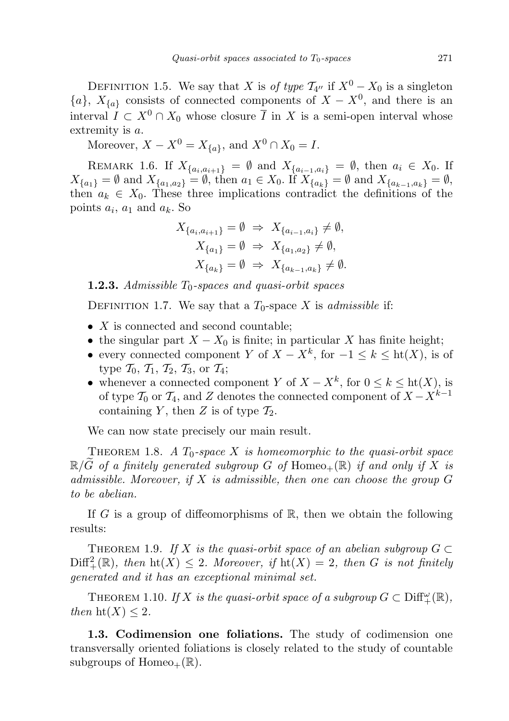DEFINITION 1.5. We say that X is of type  $\mathcal{T}_{4''}$  if  $X^0 - X_0$  is a singleton  ${a}$ ,  $X_{\{a\}}$  consists of connected components of  $X - X^0$ , and there is an interval  $I \subset X^0 \cap X_0$  whose closure  $\overline{I}$  in X is a semi-open interval whose extremity is a.

Moreover,  $X - X^0 = X_{\{a\}}$ , and  $X^0 \cap X_0 = I$ .

REMARK 1.6. If  $X_{\{a_i, a_{i+1}\}} = \emptyset$  and  $X_{\{a_{i-1}, a_i\}} = \emptyset$ , then  $a_i \in X_0$ . If  $X_{\{a_1\}} = \emptyset$  and  $X_{\{a_1, a_2\}} = \emptyset$ , then  $a_1 \in X_0$ . If  $X_{\{a_k\}} = \emptyset$  and  $X_{\{a_{k-1}, a_k\}} = \emptyset$ , then  $a_k \in X_0$ . These three implications contradict the definitions of the points  $a_i$ ,  $a_1$  and  $a_k$ . So

$$
X_{\{a_i, a_{i+1}\}} = \emptyset \Rightarrow X_{\{a_{i-1}, a_i\}} \neq \emptyset,
$$
  
\n
$$
X_{\{a_1\}} = \emptyset \Rightarrow X_{\{a_1, a_2\}} \neq \emptyset,
$$
  
\n
$$
X_{\{a_k\}} = \emptyset \Rightarrow X_{\{a_{k-1}, a_k\}} \neq \emptyset.
$$

**1.2.3.** Admissible  $T_0$ -spaces and quasi-orbit spaces

DEFINITION 1.7. We say that a  $T_0$ -space X is *admissible* if:

- X is connected and second countable;
- the singular part  $X X_0$  is finite; in particular X has finite height;
- every connected component Y of  $X X^k$ , for  $-1 \leq k \leq ht(X)$ , is of type  $\mathcal{T}_0$ ,  $\mathcal{T}_1$ ,  $\mathcal{T}_2$ ,  $\mathcal{T}_3$ , or  $\mathcal{T}_4$ ;
- whenever a connected component Y of  $X X^k$ , for  $0 \le k \le ht(X)$ , is of type  $\mathcal{T}_0$  or  $\mathcal{T}_4$ , and Z denotes the connected component of  $X - X^{k-1}$ containing Y, then Z is of type  $\mathcal{T}_2$ .

We can now state precisely our main result.

<span id="page-4-0"></span>THEOREM 1.8. A  $T_0$ -space X is homeomorphic to the quasi-orbit space  $\mathbb{R}/\tilde{G}$  of a finitely generated subgroup G of Homeo<sub>+</sub>( $\mathbb{R}$ ) if and only if X is admissible. Moreover, if X is admissible, then one can choose the group  $G$ to be abelian.

If G is a group of diffeomorphisms of  $\mathbb{R}$ , then we obtain the following results:

<span id="page-4-2"></span>THEOREM 1.9. If X is the quasi-orbit space of an abelian subgroup  $G \subset$  $\text{Diff}^2_+(\mathbb{R})$ , then  $\text{ht}(X) \leq 2$ . Moreover, if  $\text{ht}(X) = 2$ , then G is not finitely generated and it has an exceptional minimal set.

<span id="page-4-1"></span>THEOREM 1.10. If X is the quasi-orbit space of a subgroup  $G \subset \text{Diff}^{\omega}_{+}(\mathbb{R})$ , then  $\text{ht}(X) \leq 2$ .

1.3. Codimension one foliations. The study of codimension one transversally oriented foliations is closely related to the study of countable subgroups of  $Homeo_+(\mathbb{R})$ .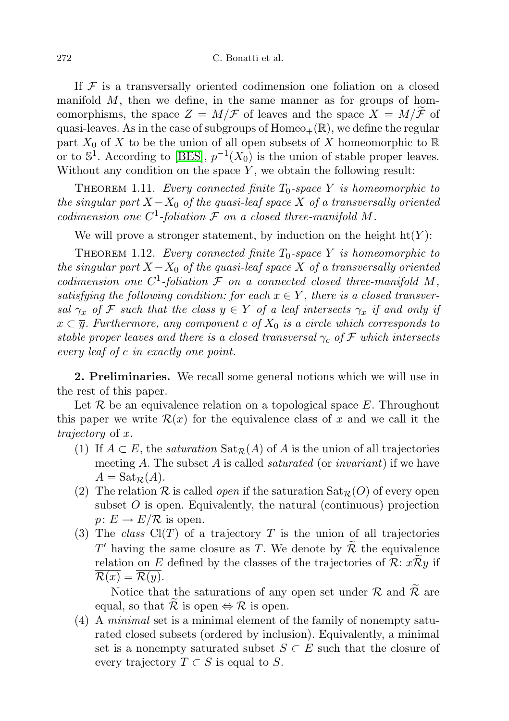If  $F$  is a transversally oriented codimension one foliation on a closed manifold  $M$ , then we define, in the same manner as for groups of homeomorphisms, the space  $Z = M/\mathcal{F}$  of leaves and the space  $X = M/\mathcal{F}$  of quasi-leaves. As in the case of subgroups of  $Homeo_+(\mathbb{R})$ , we define the regular part  $X_0$  of X to be the union of all open subsets of X homeomorphic to R or to  $\mathbb{S}^1$ . According to [\[BES\]](#page-24-1),  $p^{-1}(X_0)$  is the union of stable proper leaves. Without any condition on the space  $Y$ , we obtain the following result:

<span id="page-5-0"></span>THEOREM 1.11. Every connected finite  $T_0$ -space Y is homeomorphic to the singular part  $X - X_0$  of the quasi-leaf space X of a transversally oriented codimension one  $C^1$ -foliation  $\mathcal F$  on a closed three-manifold M.

We will prove a stronger statement, by induction on the height  $\mathrm{ht}(Y)$ :

<span id="page-5-1"></span>THEOREM 1.12. Every connected finite  $T_0$ -space Y is homeomorphic to the singular part  $X - X_0$  of the quasi-leaf space X of a transversally oriented codimension one  $C^1$ -foliation  $\mathcal F$  on a connected closed three-manifold M, satisfying the following condition: for each  $x \in Y$ , there is a closed transversal  $\gamma_x$  of F such that the class  $y \in Y$  of a leaf intersects  $\gamma_x$  if and only if  $x \subset \overline{y}$ . Furthermore, any component c of  $X_0$  is a circle which corresponds to stable proper leaves and there is a closed transversal  $\gamma_c$  of F which intersects every leaf of c in exactly one point.

2. Preliminaries. We recall some general notions which we will use in the rest of this paper.

Let  $\mathcal R$  be an equivalence relation on a topological space  $E$ . Throughout this paper we write  $\mathcal{R}(x)$  for the equivalence class of x and we call it the trajectory of x.

- (1) If  $A \subset E$ , the *saturation*  $\text{Sat}_{\mathcal{R}}(A)$  of A is the union of all trajectories meeting A. The subset A is called *saturated* (or *invariant*) if we have  $A = \text{Sat}_{\mathcal{R}}(A).$
- (2) The relation  $\mathcal R$  is called *open* if the saturation  $\text{Sat}_{\mathcal R}(O)$  of every open subset  $O$  is open. Equivalently, the natural (continuous) projection  $p: E \to E/\mathcal{R}$  is open.
- (3) The class  $Cl(T)$  of a trajectory T is the union of all trajectories  $T'$  having the same closure as T. We denote by  $\widetilde{\mathcal{R}}$  the equivalence relation on E defined by the classes of the trajectories of  $\mathcal{R}: x\mathcal{R}y$  if  $\mathcal{R}(x) = \mathcal{R}(y).$

Notice that the saturations of any open set under  $\mathcal R$  and  $\widetilde{\mathcal R}$  are equal, so that  $\mathcal R$  is open  $\Leftrightarrow \mathcal R$  is open.

(4) A minimal set is a minimal element of the family of nonempty saturated closed subsets (ordered by inclusion). Equivalently, a minimal set is a nonempty saturated subset  $S \subset E$  such that the closure of every trajectory  $T \subset S$  is equal to S.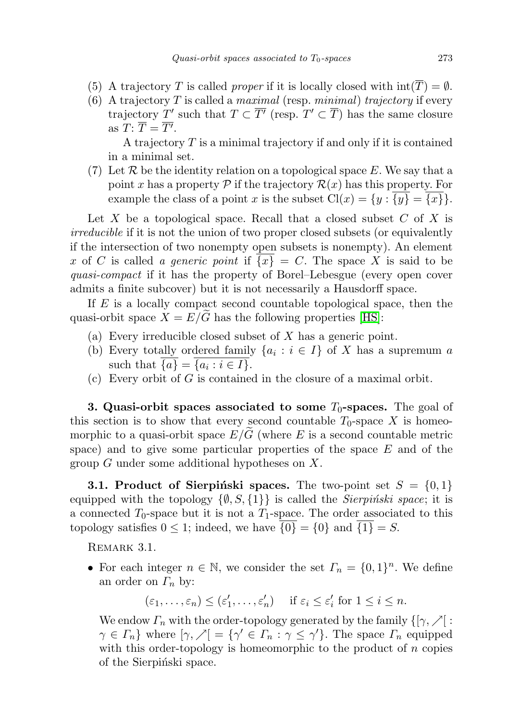- (5) A trajectory T is called *proper* if it is locally closed with  $int(\overline{T}) = \emptyset$ .
- (6) A trajectory T is called a maximal (resp. minimal) trajectory if every trajectory T' such that  $T \subset \overline{T'}$  (resp.  $T' \subset \overline{T}$ ) has the same closure as  $T: \overline{T} = \overline{T'}$ .

A trajectory T is a minimal trajectory if and only if it is contained in a minimal set.

(7) Let R be the identity relation on a topological space E. We say that a point x has a property  $\mathcal P$  if the trajectory  $\mathcal R(x)$  has this property. For example the class of a point x is the subset  $Cl(x) = \{y : \overline{\{y\}} = \overline{\{x\}}\}.$ 

Let X be a topological space. Recall that a closed subset  $C$  of X is irreducible if it is not the union of two proper closed subsets (or equivalently if the intersection of two nonempty open subsets is nonempty). An element x of C is called a generic point if  $\{x\} = C$ . The space X is said to be quasi-compact if it has the property of Borel–Lebesgue (every open cover admits a finite subcover) but it is not necessarily a Hausdorff space.

If  $E$  is a locally compact second countable topological space, then the quasi-orbit space  $X = E/\widetilde{G}$  has the following properties [\[HS\]](#page-24-0):

- (a) Every irreducible closed subset of X has a generic point.
- (b) Every totally ordered family  $\{a_i : i \in I\}$  of X has a supremum a such that  $\{a\} = \{a_i : i \in I\}.$
- (c) Every orbit of  $G$  is contained in the closure of a maximal orbit.

**3. Quasi-orbit spaces associated to some**  $T_0$ **-spaces.** The goal of this section is to show that every second countable  $T_0$ -space X is homeomorphic to a quasi-orbit space  $E/G$  (where E is a second countable metric space) and to give some particular properties of the space  $E$  and of the group G under some additional hypotheses on X.

**3.1. Product of Sierpinski spaces.** The two-point set  $S = \{0, 1\}$ equipped with the topology  $\{\emptyset, S, \{1\}\}\$ is called the *Sierpiński space*; it is a connected  $T_0$ -space but it is not a  $T_1$ -space. The order associated to this topology satisfies  $0 \leq 1$ ; indeed, we have  $\overline{\{0\}} = \{0\}$  and  $\overline{\{1\}} = S$ .

REMARK 3.1.

• For each integer  $n \in \mathbb{N}$ , we consider the set  $\Gamma_n = \{0, 1\}^n$ . We define an order on  $\Gamma_n$  by:

$$
(\varepsilon_1,\ldots,\varepsilon_n) \leq (\varepsilon'_1,\ldots,\varepsilon'_n)
$$
 if  $\varepsilon_i \leq \varepsilon'_i$  for  $1 \leq i \leq n$ .

We endow  $\Gamma_n$  with the order-topology generated by the family  $\{[\gamma, \gamma] :$  $\gamma \in \Gamma_n$  where  $[\gamma, \gamma] = {\gamma' \in \Gamma_n : \gamma \leq \gamma'}$ . The space  $\Gamma_n$  equipped with this order-topology is homeomorphic to the product of  $n$  copies of the Sierpinski space.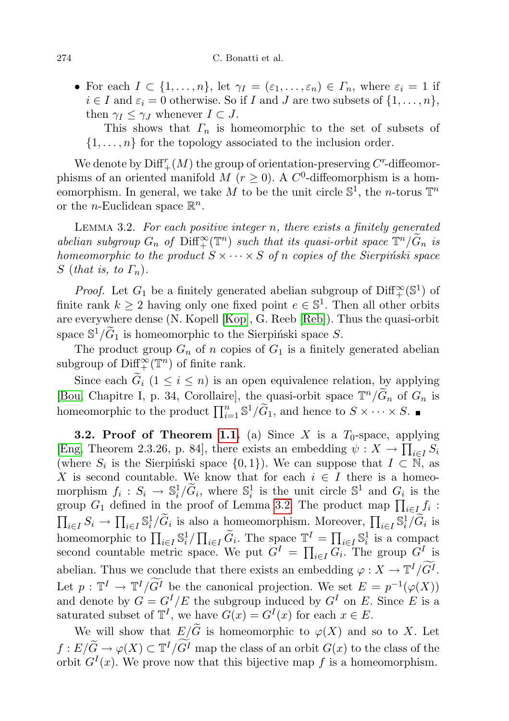• For each  $I \subset \{1,\ldots,n\}$ , let  $\gamma_I = (\varepsilon_1,\ldots,\varepsilon_n) \in \Gamma_n$ , where  $\varepsilon_i = 1$  if  $i \in I$  and  $\varepsilon_i = 0$  otherwise. So if I and J are two subsets of  $\{1, \ldots, n\}$ , then  $\gamma_I \leq \gamma_J$  whenever  $I \subset J$ .

This shows that  $\Gamma_n$  is homeomorphic to the set of subsets of  $\{1, \ldots, n\}$  for the topology associated to the inclusion order.

We denote by  $\text{Diff}^r_+(M)$  the group of orientation-preserving  $C^r$ -diffeomorphisms of an oriented manifold M  $(r \ge 0)$ . A  $C^0$ -diffeomorphism is a homeomorphism. In general, we take M to be the unit circle  $\mathbb{S}^1$ , the n-torus  $\mathbb{T}^n$ or the *n*-Euclidean space  $\mathbb{R}^n$ .

<span id="page-7-0"></span>LEMMA 3.2. For each positive integer n, there exists a finitely generated abelian subgroup  $G_n$  of  $\text{Diff}^{\infty}(\mathbb{T}^n)$  such that its quasi-orbit space  $\mathbb{T}^n/\widetilde{G}_n$  is homeomorphic to the product  $S \times \cdots \times S$  of n copies of the Sierpiński space S (that is, to  $\Gamma_n$ ).

*Proof.* Let  $G_1$  be a finitely generated abelian subgroup of  $\text{Diff}^{\infty}_+(\mathbb{S}^1)$  of finite rank  $k \geq 2$  having only one fixed point  $e \in \mathbb{S}^1$ . Then all other orbits are everywhere dense (N. Kopell [\[Kop\]](#page-24-2), G. Reeb [\[Reb\]](#page-24-3)). Thus the quasi-orbit space  $\mathbb{S}^1/\widetilde{G}_1$  is homeomorphic to the Sierpiński space S.

The product group  $G_n$  of n copies of  $G_1$  is a finitely generated abelian subgroup of  $\mathrm{Diff}^{\infty}_+(\mathbb{T}^n)$  of finite rank.

Since each  $G_i$   $(1 \leq i \leq n)$  is an open equivalence relation, by applying [\[Bou,](#page-24-4) Chapitre I, p. 34, Corollaire], the quasi-orbit space  $\mathbb{T}^n/\widetilde{G}_n$  of  $G_n$  is homeomorphic to the product  $\prod_{i=1}^{n} \mathbb{S}^{1}/\widetilde{G}_{1}$ , and hence to  $S \times \cdots \times S$ .

**3.2. Proof of Theorem [1.1.](#page-1-1)** (a) Since X is a  $T_0$ -space, applying [\[Eng,](#page-24-5) Theorem 2.3.26, p. 84], there exists an embedding  $\psi: X \to \prod_{i \in I} S_i$ (where  $S_i$  is the Sierpiński space  $\{0,1\}$ ). We can suppose that  $I \subset N$ , as X is second countable. We know that for each  $i \in I$  there is a homeomorphism  $f_i : S_i \to \mathbb{S}_i^1/\widetilde{G}_i$ , where  $\mathbb{S}_i^1$  is the unit circle  $\mathbb{S}^1$  and  $G_i$  is the group  $G_1$  defined in the proof of Lemma [3.2.](#page-7-0) The product map  $\prod_{i \in I} f_i$ :  $\prod_{i\in I} S_i \to \prod_{i\in I} \mathbb{S}_i^1/\widetilde{G}_i$  is also a homeomorphism. Moreover,  $\prod_{i\in I} \mathbb{S}_i^1/\widetilde{G}_i$  is homeomorphic to  $\prod_{i\in I} \mathbb{S}_i^1 / \prod_{i\in I} \widetilde{G}_i$ . The space  $\mathbb{T}^I = \prod_{i\in I} \mathbb{S}_i^1$  is a compact second countable metric space. We put  $G^I = \prod_{i \in I} G_i$ . The group  $G^I$  is abelian. Thus we conclude that there exists an embedding  $\varphi: X \to \mathbb{T}^I/\tilde{G}^I$ . Let  $p: \mathbb{T}^I \to \mathbb{T}^I/G^I$  be the canonical projection. We set  $E = p^{-1}(\varphi(X))$ and denote by  $G = G^{I}/E$  the subgroup induced by  $G^{I}$  on E. Since E is a saturated subset of  $\mathbb{T}^{I}$ , we have  $G(x) = G^{I}(x)$  for each  $x \in E$ .

We will show that  $E/\widetilde{G}$  is homeomorphic to  $\varphi(X)$  and so to X. Let  $f: E/\widetilde{G} \to \varphi(X) \subset \mathbb{T}^I/G^I$  map the class of an orbit  $G(x)$  to the class of the orbit  $G^{I}(x)$ . We prove now that this bijective map f is a homeomorphism.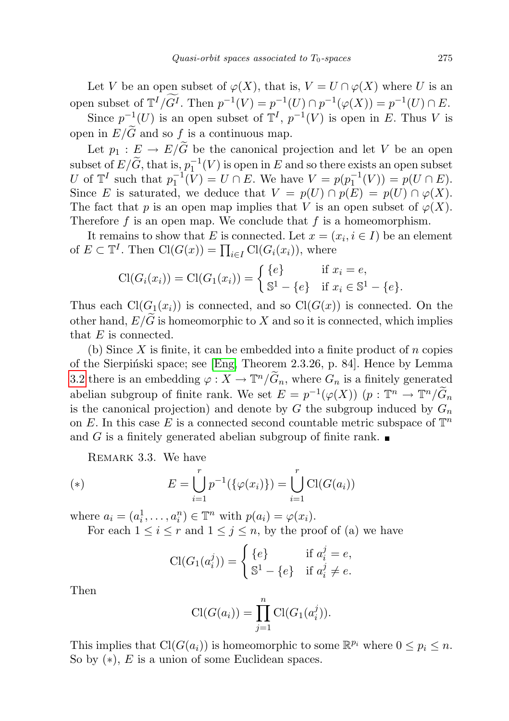Let V be an open subset of  $\varphi(X)$ , that is,  $V = U \cap \varphi(X)$  where U is an open subset of  $\mathbb{T}^{I}/G^{I}$ . Then  $p^{-1}(V) = p^{-1}(U) \cap p^{-1}(\varphi(X)) = p^{-1}(U) \cap E$ . Since  $p^{-1}(U)$  is an open subset of  $\mathbb{T}^{I}$ ,  $p^{-1}(V)$  is open in E. Thus V is open in  $E/\widetilde{G}$  and so f is a continuous map.

Let  $p_1 : E \to E/\widetilde{G}$  be the canonical projection and let V be an open subset of  $E/\widetilde{G}$ , that is,  $p_1^{-1}(V)$  is open in E and so there exists an open subset U of  $\mathbb{T}^{I}$  such that  $p_{1}^{-1}(\tilde{V}) = U \cap E$ . We have  $V = p(p_{1}^{-1}(V)) = p(U \cap E)$ . Since E is saturated, we deduce that  $V = p(U) \cap p(E) = p(U) \cap \varphi(X)$ . The fact that p is an open map implies that V is an open subset of  $\varphi(X)$ . Therefore  $f$  is an open map. We conclude that  $f$  is a homeomorphism.

It remains to show that E is connected. Let  $x = (x_i, i \in I)$  be an element of  $E \subset \mathbb{T}^I$ . Then  $\text{Cl}(G(x)) = \prod_{i \in I} \text{Cl}(G_i(x_i))$ , where

$$
\text{Cl}(G_i(x_i)) = \text{Cl}(G_1(x_i)) = \begin{cases} \{e\} & \text{if } x_i = e, \\ \mathbb{S}^1 - \{e\} & \text{if } x_i \in \mathbb{S}^1 - \{e\}. \end{cases}
$$

Thus each  $Cl(G_1(x_i))$  is connected, and so  $Cl(G(x))$  is connected. On the other hand,  $E/G$  is homeomorphic to X and so it is connected, which implies that E is connected.

(b) Since  $X$  is finite, it can be embedded into a finite product of  $n$  copies of the Sierpiński space; see [\[Eng,](#page-24-5) Theorem 2.3.26, p. 84]. Hence by Lemma [3.2](#page-7-0) there is an embedding  $\varphi: X \to \mathbb{T}^n/\widetilde{G}_n$ , where  $G_n$  is a finitely generated abelian subgroup of finite rank. We set  $E = p^{-1}(\varphi(X))$   $(p: \mathbb{T}^n \to \mathbb{T}^n/\widetilde{G}_n)$ is the canonical projection) and denote by  $G$  the subgroup induced by  $G_n$ on E. In this case E is a connected second countable metric subspace of  $\mathbb{T}^n$ and G is a finitely generated abelian subgroup of finite rank.

REMARK 3.3. We have

(\*) 
$$
E = \bigcup_{i=1}^{r} p^{-1}(\{\varphi(x_i)\}) = \bigcup_{i=1}^{r} \text{Cl}(G(a_i))
$$

where  $a_i = (a_i^1, \ldots, a_i^n) \in \mathbb{T}^n$  with  $p(a_i) = \varphi(x_i)$ .

For each  $1 \leq i \leq r$  and  $1 \leq j \leq n$ , by the proof of (a) we have

$$
\mathrm{Cl}(G_1(a_i^j)) = \begin{cases} \{e\} & \text{if } a_i^j = e, \\ \mathbb{S}^1 - \{e\} & \text{if } a_i^j \neq e. \end{cases}
$$

Then

$$
Cl(G(a_i)) = \prod_{j=1}^{n} Cl(G_1(a_i^j)).
$$

This implies that  $Cl(G(a_i))$  is homeomorphic to some  $\mathbb{R}^{p_i}$  where  $0 \leq p_i \leq n$ . So by  $(*), E$  is a union of some Euclidean spaces.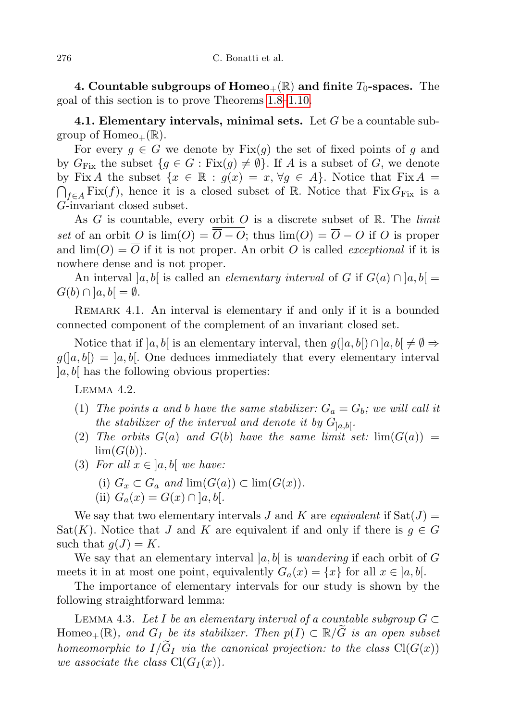4. Countable subgroups of  $Homeo_+(\mathbb{R})$  and finite  $T_0$ -spaces. The goal of this section is to prove Theorems [1.8–](#page-4-0)[1.10.](#page-4-1)

**4.1. Elementary intervals, minimal sets.** Let  $G$  be a countable subgroup of  $Homeo_+(\mathbb{R})$ .

For every  $g \in G$  we denote by  $Fix(g)$  the set of fixed points of g and by  $G_{\text{Fix}}$  the subset  $\{g \in G : \text{Fix}(g) \neq \emptyset\}$ . If A is a subset of G, we denote by Fix A the subset  $\{x \in \mathbb{R} : g(x) = x, \forall g \in A\}$ . Notice that Fix  $A =$  $\bigcap_{f\in A} \text{Fix}(f)$ , hence it is a closed subset of R. Notice that  $\text{Fix } G_{\text{Fix }}$  is a G-invariant closed subset.

As G is countable, every orbit O is a discrete subset of  $\mathbb{R}$ . The *limit* set of an orbit O is  $\lim_{\Delta} (O) = \overline{O} - O$ ; thus  $\lim_{\Delta} (O) = \overline{O} - O$  if O is proper and  $\lim(O) = \overline{O}$  if it is not proper. An orbit O is called *exceptional* if it is nowhere dense and is not proper.

An interval  $[a, b]$  is called an *elementary interval* of G if  $G(a) \cap [a, b]$  $G(b) \cap [a, b] = \emptyset.$ 

REMARK 4.1. An interval is elementary if and only if it is a bounded connected component of the complement of an invariant closed set.

Notice that if  $[a, b]$  is an elementary interval, then  $g([a, b]) \cap [a, b] \neq \emptyset \Rightarrow$  $g([a, b]) = [a, b]$ . One deduces immediately that every elementary interval  $|a, b|$  has the following obvious properties:

<span id="page-9-0"></span>Lemma 4.2.

- (1) The points a and b have the same stabilizer:  $G_a = G_b$ ; we will call it the stabilizer of the interval and denote it by  $G_{a,b}$ .
- (2) The orbits  $G(a)$  and  $G(b)$  have the same limit set:  $\lim(G(a)) =$  $\lim(G(b)).$
- (3) For all  $x \in [a, b]$  we have:
	- (i)  $G_x \subset G_a$  and  $\lim(G(a)) \subset \lim(G(x)).$
	- (ii)  $G_a(x) = G(x) \cap [a, b].$

We say that two elementary intervals J and K are equivalent if  $Sat(J)$  = Sat(K). Notice that J and K are equivalent if and only if there is  $g \in G$ such that  $g(J) = K$ .

We say that an elementary interval  $[a, b]$  is *wandering* if each orbit of G meets it in at most one point, equivalently  $G_a(x) = \{x\}$  for all  $x \in [a, b]$ .

The importance of elementary intervals for our study is shown by the following straightforward lemma:

<span id="page-9-1"></span>LEMMA 4.3. Let I be an elementary interval of a countable subgroup  $G \subset$ Homeo<sub>+</sub>(R), and G<sub>I</sub> be its stabilizer. Then  $p(I) \subset \mathbb{R}/G$  is an open subset homeomorphic to  $I/G_I$  via the canonical projection: to the class  $Cl(G(x))$ we associate the class  $Cl(G_I(x))$ .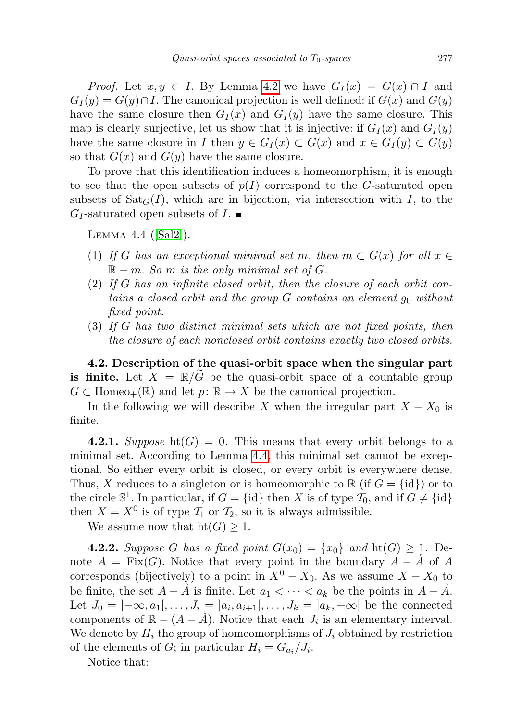*Proof.* Let  $x, y \in I$ . By Lemma [4.2](#page-9-0) we have  $G_I(x) = G(x) \cap I$  and  $G_I(y) = G(y) \cap I$ . The canonical projection is well defined: if  $G(x)$  and  $G(y)$ have the same closure then  $G_I(x)$  and  $G_I(y)$  have the same closure. This map is clearly surjective, let us show that it is injective: if  $G_I(x)$  and  $G_I(y)$ have the same closure in I then  $y \in G_I(x) \subset G(x)$  and  $x \in G_I(y) \subset G(y)$ so that  $G(x)$  and  $G(y)$  have the same closure.

To prove that this identification induces a homeomorphism, it is enough to see that the open subsets of  $p(I)$  correspond to the G-saturated open subsets of  $\text{Sat}_{G}(I)$ , which are in bijection, via intersection with I, to the  $G_I$ -saturated open subsets of  $I.$ 

<span id="page-10-0"></span>LEMMA  $4.4$  ([\[Sal2\]](#page-24-6)).

- (1) If G has an exceptional minimal set m, then  $m \subset \overline{G(x)}$  for all  $x \in$  $\mathbb{R} - m$ . So m is the only minimal set of G.
- (2) If G has an infinite closed orbit, then the closure of each orbit contains a closed orbit and the group  $G$  contains an element  $g_0$  without fixed point.
- (3) If G has two distinct minimal sets which are not fixed points, then the closure of each nonclosed orbit contains exactly two closed orbits.

<span id="page-10-1"></span>4.2. Description of the quasi-orbit space when the singular part is finite. Let  $X = \mathbb{R}/G$  be the quasi-orbit space of a countable group  $G \subset \text{Homeo}_+(\mathbb{R})$  and let  $p: \mathbb{R} \to X$  be the canonical projection.

In the following we will describe X when the irregular part  $X - X_0$  is finite.

4.2.1. Suppose  $\text{ht}(G) = 0$ . This means that every orbit belongs to a minimal set. According to Lemma [4.4,](#page-10-0) this minimal set cannot be exceptional. So either every orbit is closed, or every orbit is everywhere dense. Thus, X reduces to a singleton or is homeomorphic to  $\mathbb{R}$  (if  $G = \{id\}$ ) or to the circle  $\mathbb{S}^1$ . In particular, if  $G = \{id\}$  then X is of type  $\mathcal{T}_0$ , and if  $G \neq \{id\}$ then  $X = X^0$  is of type  $\mathcal{T}_1$  or  $\mathcal{T}_2$ , so it is always admissible.

We assume now that  $\text{ht}(G) \geq 1$ .

**4.2.2.** Suppose G has a fixed point  $G(x_0) = \{x_0\}$  and  $\text{ht}(G) \geq 1$ . Denote  $A = Fix(G)$ . Notice that every point in the boundary  $A - \overline{A}$  of A corresponds (bijectively) to a point in  $X^0 - X_0$ . As we assume  $X - X_0$  to be finite, the set  $A - \mathring{A}$  is finite. Let  $a_1 < \cdots < a_k$  be the points in  $A - \mathring{A}$ . Let  $J_0 = [-\infty, a_1[, \ldots, J_i = ]a_i, a_{i+1}[, \ldots, J_k = ]a_k, +\infty[$  be the connected components of  $\mathbb{R} - (A - \mathring{A})$ . Notice that each  $J_i$  is an elementary interval. We denote by  $H_i$  the group of homeomorphisms of  $J_i$  obtained by restriction of the elements of  $G$ ; in particular  $H_i = G_{a_i}/J_i$ .

Notice that: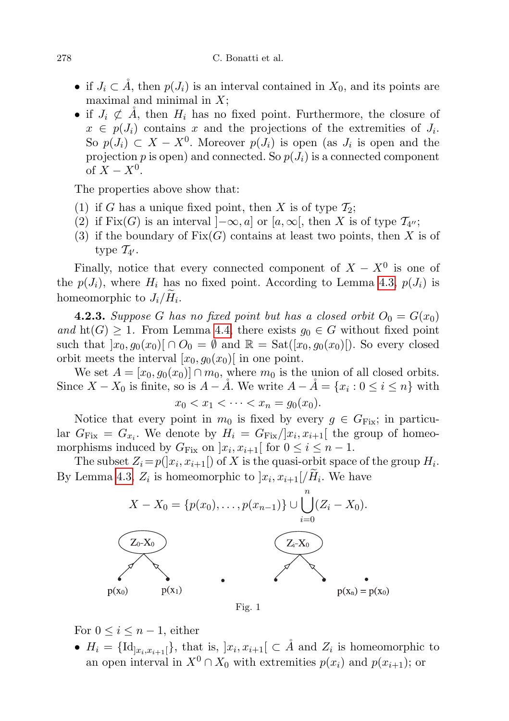- if  $J_i \subset \mathring{A}$ , then  $p(J_i)$  is an interval contained in  $X_0$ , and its points are maximal and minimal in  $X$ ;
- if  $J_i \not\subset A$ , then  $H_i$  has no fixed point. Furthermore, the closure of  $x \in p(J_i)$  contains x and the projections of the extremities of  $J_i$ . So  $p(J_i) \subset X - X^0$ . Moreover  $p(J_i)$  is open (as  $J_i$  is open and the projection p is open) and connected. So  $p(J_i)$  is a connected component of  $X - X^0$ .

The properties above show that:

- (1) if G has a unique fixed point, then X is of type  $\mathcal{T}_2$ ;
- (2) if Fix(G) is an interval  $]-\infty, a]$  or  $[a, \infty[,$  then X is of type  $\mathcal{T}_{4}$ ,
- (3) if the boundary of  $Fix(G)$  contains at least two points, then X is of type  $\mathcal{T}_{4'}$ .

Finally, notice that every connected component of  $X - X^0$  is one of the  $p(J_i)$ , where  $H_i$  has no fixed point. According to Lemma [4.3,](#page-9-1)  $p(J_i)$  is homeomorphic to  $J_i/H_i$ .

<span id="page-11-0"></span>**4.2.3.** Suppose G has no fixed point but has a closed orbit  $O_0 = G(x_0)$ and  $\text{ht}(G) \geq 1$ . From Lemma [4.4,](#page-10-0) there exists  $g_0 \in G$  without fixed point such that  $[x_0, g_0(x_0)] \cap O_0 = \emptyset$  and  $\mathbb{R} = \text{Sat}([x_0, g_0(x_0)])$ . So every closed orbit meets the interval  $[x_0, g_0(x_0)]$  in one point.

We set  $A = [x_0, g_0(x_0)] \cap m_0$ , where  $m_0$  is the union of all closed orbits. Since  $X - X_0$  is finite, so is  $A - \AA$ . We write  $A - \AA = \{x_i : 0 \le i \le n\}$  with

$$
x_0 < x_1 < \cdots < x_n = g_0(x_0).
$$

Notice that every point in  $m_0$  is fixed by every  $g \in G_{Fix}$ ; in particular  $G_{\text{Fix}} = G_{x_i}$ . We denote by  $H_i = G_{\text{Fix}}/|x_i, x_{i+1}|$  the group of homeomorphisms induced by  $G_{Fix}$  on  $]x_i, x_{i+1}[$  for  $0 \le i \le n-1$ .

The subset  $Z_i = p(|x_i, x_{i+1}|)$  of X is the quasi-orbit space of the group  $H_i$ . By Lemma [4.3,](#page-9-1)  $Z_i$  is homeomorphic to  $x_i, x_{i+1}]/H_i$ . We have



Fig. 1

For  $0 \leq i \leq n-1$ , either

•  $H_i = {\text{Id}_{x_i,x_{i+1}}}$ , that is,  $x_i, x_{i+1} \subset \mathring{A}$  and  $Z_i$  is homeomorphic to an open interval in  $X^0 \cap X_0$  with extremities  $p(x_i)$  and  $p(x_{i+1})$ ; or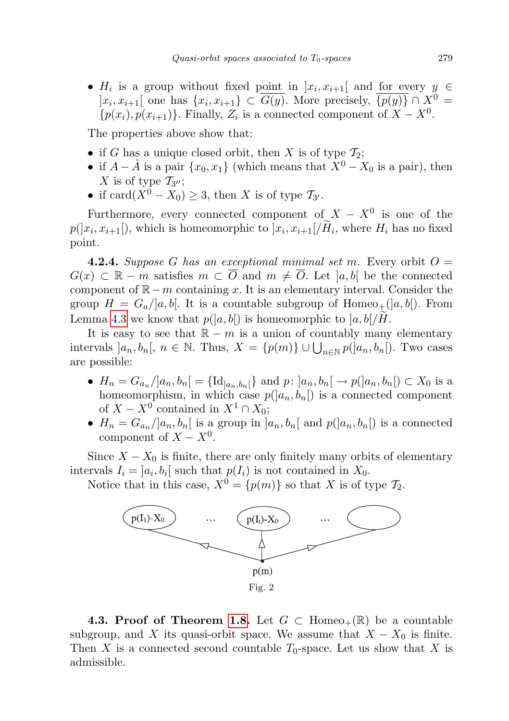•  $H_i$  is a group without fixed point in  $x_i, x_{i+1}$  and for every  $y \in$  $]x_i, x_{i+1}[$  one has  $\{x_i, x_{i+1}\} \subset \overline{G(y)}$ . More precisely,  $\overline{\{p(y)\}} \cap X^0 =$  $\{p(x_i), p(x_{i+1})\}$ . Finally,  $Z_i$  is a connected component of  $X - X^0$ .

The properties above show that:

- if G has a unique closed orbit, then X is of type  $\mathcal{T}_2$ ;
- if  $A \AA$  is a pair  $\{x_0, x_1\}$  (which means that  $X^0 X_0$  is a pair), then X is of type  $\mathcal{T}_{3''};$
- if  $card(X^0 X_0) \geq 3$ , then X is of type  $\mathcal{T}_{3'}$ .

Furthermore, every connected component of  $X - X^0$  is one of the  $p(|x_i, x_{i+1}|)$ , which is homeomorphic to  $|x_i, x_{i+1}|/H_i$ , where  $H_i$  has no fixed point.

**4.2.4.** Suppose G has an exceptional minimal set m. Every orbit  $O =$  $G(x) \subset \mathbb{R} - m$  satisfies  $m \subset \overline{O}$  and  $m \neq \overline{O}$ . Let  $[a, b]$  be the connected component of  $\mathbb{R}-m$  containing x. It is an elementary interval. Consider the group  $H = G_a/|a, b|$ . It is a countable subgroup of Homeo<sub>+</sub>( $|a, b|$ ). From Lemma [4.3](#page-9-1) we know that  $p([a, b])$  is homeomorphic to  $[a, b]/H$ .

It is easy to see that  $\mathbb{R} - m$  is a union of countably many elementary intervals  $]a_n, b_n[$ ,  $n \in \mathbb{N}$ . Thus,  $X = \{p(m)\} \cup \bigcup_{n \in \mathbb{N}} p(|a_n, b_n|)$ . Two cases are possible:

- $H_n = G_{a_n}/|a_n, b_n| = {\text{Id}}_{|a_n, b_n|}$  and  $p: |a_n, b_n| \to p(|a_n, b_n|) \subset X_0$  is a homeomorphism, in which case  $p(]a_n, b_n[]$  is a connected component of  $X - X^0$  contained in  $X^1 \cap X_0$ ;
- $H_n = G_{a_n}/[a_n, b_n]$  is a group in  $[a_n, b_n]$  and  $p([a_n, b_n])$  is a connected component of  $X - X^0$ .

Since  $X - X_0$  is finite, there are only finitely many orbits of elementary intervals  $I_i = [a_i, b_i]$  such that  $p(I_i)$  is not contained in  $X_0$ .

Notice that in this case,  $X^0 = \{p(m)\}\$ so that X is of type  $\mathcal{T}_2$ .



4.3. Proof of Theorem [1.8.](#page-4-0) Let  $G \subset \text{Homeo}_+(\mathbb{R})$  be a countable subgroup, and X its quasi-orbit space. We assume that  $X - X_0$  is finite. Then X is a connected second countable  $T_0$ -space. Let us show that X is admissible.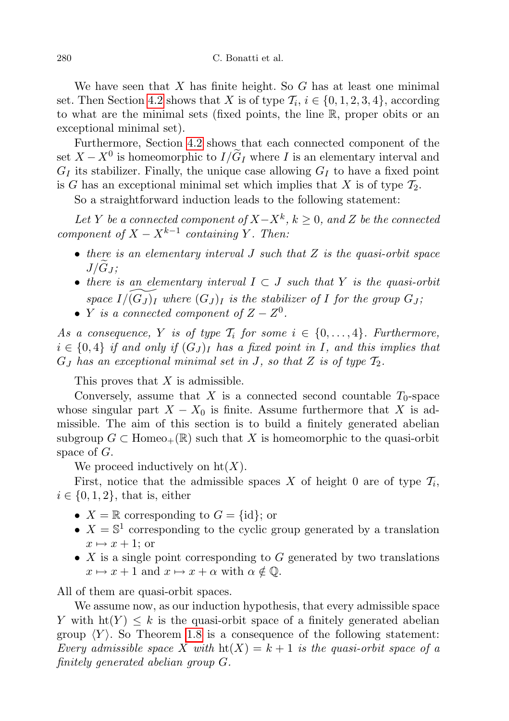We have seen that  $X$  has finite height. So  $G$  has at least one minimal set. Then Section [4.2](#page-10-1) shows that X is of type  $\mathcal{T}_i$ ,  $i \in \{0, 1, 2, 3, 4\}$ , according to what are the minimal sets (fixed points, the line R, proper obits or an exceptional minimal set).

Furthermore, Section [4.2](#page-10-1) shows that each connected component of the set  $X - X^0$  is homeomorphic to  $I/\tilde{G}_I$  where I is an elementary interval and  $G_I$  its stabilizer. Finally, the unique case allowing  $G_I$  to have a fixed point is G has an exceptional minimal set which implies that X is of type  $\mathcal{T}_2$ .

So a straightforward induction leads to the following statement:

Let Y be a connected component of  $X - X^k$ ,  $k \geq 0$ , and Z be the connected component of  $X - X^{k-1}$  containing Y. Then:

- there is an elementary interval  $J$  such that  $Z$  is the quasi-orbit space  $J/G_I$ ;
- there is an elementary interval  $I \subset J$  such that Y is the quasi-orbit space  $I/(G_J )_I$  where  $(G_J )_I$  is the stabilizer of I for the group  $G_J$ ;
- Y is a connected component of  $Z Z^0$ .

As a consequence, Y is of type  $\mathcal{T}_i$  for some  $i \in \{0, \ldots, 4\}$ . Furthermore,  $i \in \{0,4\}$  if and only if  $(G_J)_I$  has a fixed point in I, and this implies that  $G_J$  has an exceptional minimal set in J, so that Z is of type  $\mathcal{T}_2$ .

This proves that  $X$  is admissible.

Conversely, assume that X is a connected second countable  $T_0$ -space whose singular part  $X - X_0$  is finite. Assume furthermore that X is admissible. The aim of this section is to build a finitely generated abelian subgroup  $G \subset \text{Homeo}_+(\mathbb{R})$  such that X is homeomorphic to the quasi-orbit space of G.

We proceed inductively on  $ht(X)$ .

First, notice that the admissible spaces X of height 0 are of type  $\mathcal{T}_i$ ,  $i \in \{0, 1, 2\}$ , that is, either

- $X = \mathbb{R}$  corresponding to  $G = \{id\}$ ; or
- $X = \mathbb{S}^1$  corresponding to the cyclic group generated by a translation  $x \mapsto x + 1$ ; or
- $X$  is a single point corresponding to  $G$  generated by two translations  $x \mapsto x + 1$  and  $x \mapsto x + \alpha$  with  $\alpha \notin \mathbb{Q}$ .

All of them are quasi-orbit spaces.

We assume now, as our induction hypothesis, that every admissible space Y with  $h(Y) \leq k$  is the quasi-orbit space of a finitely generated abelian group  $\langle Y \rangle$ . So Theorem [1.8](#page-4-0) is a consequence of the following statement: Every admissible space X with  $\text{ht}(X) = k + 1$  is the quasi-orbit space of a finitely generated abelian group G.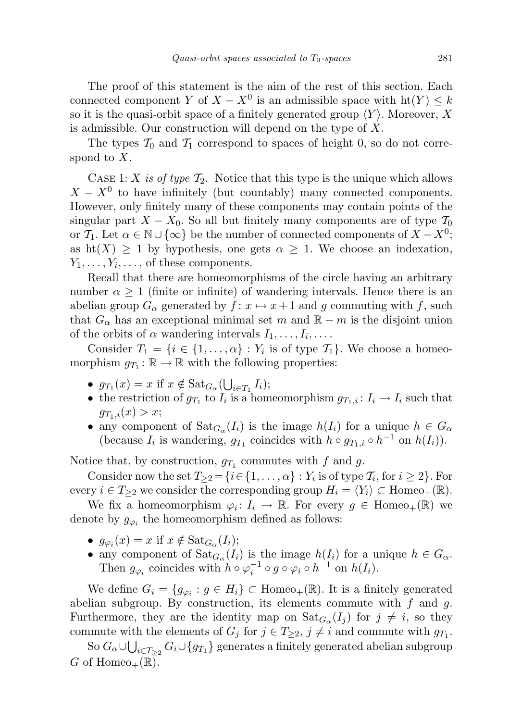The proof of this statement is the aim of the rest of this section. Each connected component Y of  $X - X^0$  is an admissible space with  $\text{ht}(Y) \leq k$ so it is the quasi-orbit space of a finitely generated group  $\langle Y \rangle$ . Moreover, X is admissible. Our construction will depend on the type of X.

The types  $T_0$  and  $T_1$  correspond to spaces of height 0, so do not correspond to X.

CASE 1: X is of type  $\mathcal{T}_2$ . Notice that this type is the unique which allows  $X - X^0$  to have infinitely (but countably) many connected components. However, only finitely many of these components may contain points of the singular part  $X - X_0$ . So all but finitely many components are of type  $\mathcal{T}_0$ or  $\mathcal{T}_1$ . Let  $\alpha \in \mathbb{N} \cup \{\infty\}$  be the number of connected components of  $X - X^0$ ; as  $\text{ht}(X) \geq 1$  by hypothesis, one gets  $\alpha \geq 1$ . We choose an indexation,  $Y_1, \ldots, Y_i, \ldots$ , of these components.

Recall that there are homeomorphisms of the circle having an arbitrary number  $\alpha > 1$  (finite or infinite) of wandering intervals. Hence there is an abelian group  $G_{\alpha}$  generated by  $f: x \mapsto x+1$  and g commuting with f, such that  $G_{\alpha}$  has an exceptional minimal set m and  $\mathbb{R} - m$  is the disjoint union of the orbits of  $\alpha$  wandering intervals  $I_1, \ldots, I_i, \ldots$ .

Consider  $T_1 = \{i \in \{1, ..., \alpha\} : Y_i$  is of type  $\mathcal{T}_1\}$ . We choose a homeomorphism  $g_{T_1} : \mathbb{R} \to \mathbb{R}$  with the following properties:

- $g_{T_1}(x) = x$  if  $x \notin \text{Sat}_{G_\alpha}(\bigcup_{i \in T_1} I_i);$
- the restriction of  $g_{T_1}$  to  $I_i$  is a homeomorphism  $g_{T_1,i}: I_i \to I_i$  such that  $g_{T_1,i}(x) > x;$
- any component of  $\text{Sat}_{G_{\alpha}}(I_i)$  is the image  $h(I_i)$  for a unique  $h \in G_{\alpha}$ (because  $I_i$  is wandering,  $g_{T_1}$  coincides with  $h \circ g_{T_1,i} \circ h^{-1}$  on  $h(I_i)$ ).

Notice that, by construction,  $g_{T_1}$  commutes with f and g.

Consider now the set  $T_{\geq 2} = \{i \in \{1, ..., \alpha\} : Y_i$  is of type  $\mathcal{T}_i$ , for  $i \geq 2\}$ . For every  $i \in T_{\geq 2}$  we consider the corresponding group  $H_i = \langle Y_i \rangle \subset \text{Homeo}_+(\mathbb{R})$ .

We fix a homeomorphism  $\varphi_i: I_i \to \mathbb{R}$ . For every  $g \in \text{Homeo}_+(\mathbb{R})$  we denote by  $g_{\varphi_i}$  the homeomorphism defined as follows:

- $g_{\varphi_i}(x) = x$  if  $x \notin \text{Sat}_{G_\alpha}(I_i);$
- any component of  $\text{Sat}_{G_{\alpha}}(I_i)$  is the image  $h(I_i)$  for a unique  $h \in G_{\alpha}$ . Then  $g_{\varphi_i}$  coincides with  $h \circ \varphi_i^{-1} \circ g \circ \varphi_i \circ h^{-1}$  on  $h(I_i)$ .

We define  $G_i = \{g_{\varphi_i} : g \in H_i\} \subset \text{Homeo}_+(\mathbb{R})$ . It is a finitely generated abelian subgroup. By construction, its elements commute with  $f$  and  $g$ . Furthermore, they are the identity map on  $\text{Sat}_{G_{\alpha}}(I_j)$  for  $j \neq i$ , so they commute with the elements of  $G_j$  for  $j \in T_{\geq 2}$ ,  $j \neq i$  and commute with  $g_{T_1}$ .

 $\mathrm{So}~ G_\alpha \cup \bigcup_{i \in T_{\geq 2}} G_i \cup \{g_{T_1}\}$  generates a finitely generated abelian subgroup G of Homeo<sub>+</sub> $(\mathbb{R})$ .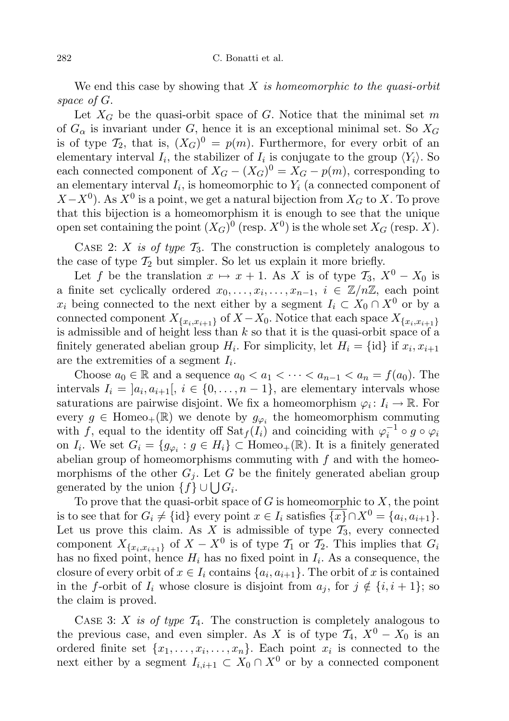We end this case by showing that  $X$  is homeomorphic to the quasi-orbit space of G.

Let  $X_G$  be the quasi-orbit space of G. Notice that the minimal set m of  $G_{\alpha}$  is invariant under G, hence it is an exceptional minimal set. So  $X_G$ is of type  $\mathcal{T}_2$ , that is,  $(X_G)^0 = p(m)$ . Furthermore, for every orbit of an elementary interval  $I_i$ , the stabilizer of  $I_i$  is conjugate to the group  $\langle Y_i \rangle$ . So each connected component of  $X_G - (X_G)^0 = X_G - p(m)$ , corresponding to an elementary interval  $I_i$ , is homeomorphic to  $Y_i$  (a connected component of  $(X - X<sup>0</sup>)$ . As  $X<sup>0</sup>$  is a point, we get a natural bijection from  $X<sub>G</sub>$  to X. To prove that this bijection is a homeomorphism it is enough to see that the unique open set containing the point  $(X_G)^0$  (resp.  $X^0$ ) is the whole set  $X_G$  (resp. X).

CASE 2: X is of type  $\mathcal{T}_3$ . The construction is completely analogous to the case of type  $\mathcal{T}_2$  but simpler. So let us explain it more briefly.

Let f be the translation  $x \mapsto x + 1$ . As X is of type  $\mathcal{T}_3$ ,  $X^0 - X_0$  is a finite set cyclically ordered  $x_0, \ldots, x_i, \ldots, x_{n-1}, i \in \mathbb{Z}/n\mathbb{Z}$ , each point  $x_i$  being connected to the next either by a segment  $I_i \subset X_0 \cap X^0$  or by a connected component  $X_{\{x_i,x_{i+1}\}}$  of  $X - X_0$ . Notice that each space  $X_{\{x_i,x_{i+1}\}}$ is admissible and of height less than  $k$  so that it is the quasi-orbit space of a finitely generated abelian group  $H_i$ . For simplicity, let  $H_i = \{\text{id}\}\$ if  $x_i, x_{i+1}$ are the extremities of a segment  $I_i$ .

Choose  $a_0 \in \mathbb{R}$  and a sequence  $a_0 < a_1 < \cdots < a_{n-1} < a_n = f(a_0)$ . The intervals  $I_i = [a_i, a_{i+1}], i \in \{0, ..., n-1\}$ , are elementary intervals whose saturations are pairwise disjoint. We fix a homeomorphism  $\varphi_i: I_i \to \mathbb{R}$ . For every  $g \in \text{Homeo}_+(\mathbb{R})$  we denote by  $g_{\varphi_i}$  the homeomorphism commuting with f, equal to the identity off  $\text{Sat}_f(I_i)$  and coinciding with  $\varphi_i^{-1} \circ g \circ \varphi_i$ on  $I_i$ . We set  $G_i = \{g_{\varphi_i} : g \in H_i\} \subset \text{Homeo}_+(\mathbb{R})$ . It is a finitely generated abelian group of homeomorphisms commuting with  $f$  and with the homeomorphisms of the other  $G_j$ . Let G be the finitely generated abelian group generated by the union  $\{f\} \cup \bigcup G_i$ .

To prove that the quasi-orbit space of  $G$  is homeomorphic to  $X$ , the point is to see that for  $G_i \neq \{id\}$  every point  $x \in I_i$  satisfies  $\overline{\{x\}} \cap X^0 = \{a_i, a_{i+1}\}.$ Let us prove this claim. As  $X$  is admissible of type  $\mathcal{T}_3$ , every connected component  $X_{\{x_i,x_{i+1}\}}$  of  $X-X^0$  is of type  $\mathcal{T}_1$  or  $\mathcal{T}_2$ . This implies that  $G_i$ has no fixed point, hence  $H_i$  has no fixed point in  $I_i$ . As a consequence, the closure of every orbit of  $x \in I_i$  contains  $\{a_i, a_{i+1}\}\$ . The orbit of x is contained in the f-orbit of  $I_i$  whose closure is disjoint from  $a_j$ , for  $j \notin \{i, i + 1\}$ ; so the claim is proved.

CASE 3: X is of type  $\mathcal{T}_4$ . The construction is completely analogous to the previous case, and even simpler. As X is of type  $\mathcal{T}_4$ ,  $X^0 - X_0$  is an ordered finite set  $\{x_1, \ldots, x_i, \ldots, x_n\}$ . Each point  $x_i$  is connected to the next either by a segment  $I_{i,i+1} \subset X_0 \cap X^0$  or by a connected component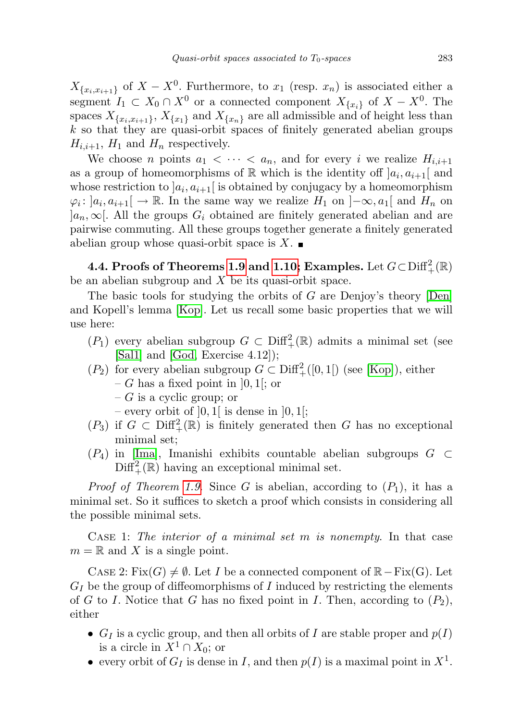$X_{\{x_i,x_{i+1}\}}$  of  $X-X^0$ . Furthermore, to  $x_1$  (resp.  $x_n$ ) is associated either a segment  $I_1 \subset X_0 \cap X^0$  or a connected component  $X_{\{x_i\}}$  of  $X - X^0$ . The spaces  $X_{\{x_i,x_{i+1}\}}$ ,  $X_{\{x_1\}}$  and  $X_{\{x_n\}}$  are all admissible and of height less than k so that they are quasi-orbit spaces of finitely generated abelian groups  $H_{i,i+1}$ ,  $H_1$  and  $H_n$  respectively.

We choose *n* points  $a_1 < \cdots < a_n$ , and for every *i* we realize  $H_{i,i+1}$ as a group of homeomorphisms of  $\mathbb R$  which is the identity off  $]a_i, a_{i+1}[$  and whose restriction to  $a_i, a_{i+1}$  is obtained by conjugacy by a homeomorphism  $\varphi_i: [a_i, a_{i+1}] \to \mathbb{R}$ . In the same way we realize  $H_1$  on  $]-\infty, a_1[$  and  $H_n$  on  $[a_n, \infty]$ . All the groups  $G_i$  obtained are finitely generated abelian and are pairwise commuting. All these groups together generate a finitely generated abelian group whose quasi-orbit space is  $X$ .

4.4. Proofs of Theorems [1.9](#page-4-2) and [1.10;](#page-4-1) Examples. Let  $G\!\subset\!\operatorname{Diff}_+^2(\mathbb R)$ be an abelian subgroup and X be its quasi-orbit space.

The basic tools for studying the orbits of G are Denjoy's theory [\[Den\]](#page-24-7) and Kopell's lemma [\[Kop\]](#page-24-2). Let us recall some basic properties that we will use here:

- $(P_1)$  every abelian subgroup  $G \subset \text{Diff}^2_+(\mathbb{R})$  admits a minimal set (see [\[Sal1\]](#page-24-8) and [\[God,](#page-24-9) Exercise 4.12]);
- $(P_2)$  for every abelian subgroup  $G \subset \text{Diff}^2_+([0,1])$  (see [\[Kop\]](#page-24-2)), either  $-G$  has a fixed point in [0, 1]; or
	- $-G$  is a cyclic group; or
	- every orbit of  $[0,1]$  is dense in  $[0,1]$ ;
- $(P_3)$  if  $G \subset \text{Diff}^2_+(\mathbb{R})$  is finitely generated then G has no exceptional minimal set;
- $(P_4)$  in [\[Ima\]](#page-24-10), Imanishi exhibits countable abelian subgroups  $G \subset$  $\text{Diff}^{2}_{+}(\mathbb{R})$  having an exceptional minimal set.

*Proof of Theorem [1.9](#page-4-2).* Since G is abelian, according to  $(P_1)$ , it has a minimal set. So it suffices to sketch a proof which consists in considering all the possible minimal sets.

CASE 1: The interior of a minimal set  $m$  is nonempty. In that case  $m = \mathbb{R}$  and X is a single point.

CASE 2: Fix( $G$ )  $\neq \emptyset$ . Let I be a connected component of  $\mathbb{R}-\mathrm{Fix}(G)$ . Let  $G_I$  be the group of diffeomorphisms of I induced by restricting the elements of G to I. Notice that G has no fixed point in I. Then, according to  $(P_2)$ , either

- $G_I$  is a cyclic group, and then all orbits of I are stable proper and  $p(I)$ is a circle in  $X^1 \cap X_0$ ; or
- every orbit of  $G_I$  is dense in I, and then  $p(I)$  is a maximal point in  $X^1$ .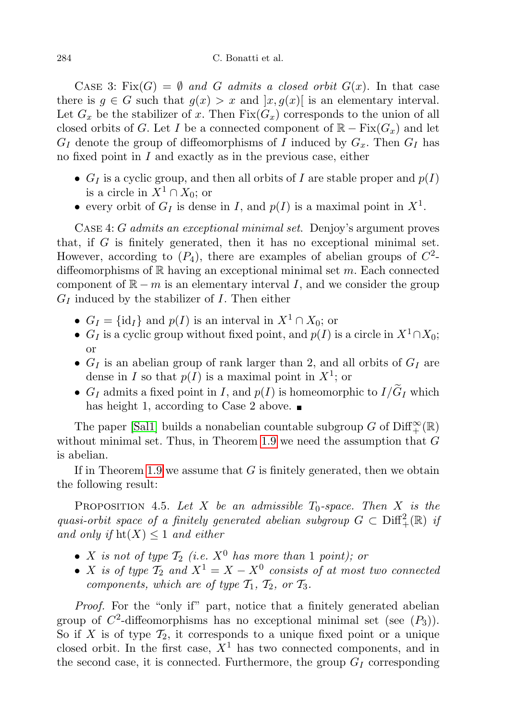#### 284 C. Bonatti et al.

CASE 3: Fix(G) =  $\emptyset$  and G admits a closed orbit  $G(x)$ . In that case there is  $g \in G$  such that  $g(x) > x$  and  $[x, g(x)]$  is an elementary interval. Let  $G_x$  be the stabilizer of x. Then  $Fix(G_x)$  corresponds to the union of all closed orbits of G. Let I be a connected component of  $\mathbb{R} - \text{Fix}(G_x)$  and let  $G_I$  denote the group of diffeomorphisms of I induced by  $G_x$ . Then  $G_I$  has no fixed point in I and exactly as in the previous case, either

- $G_I$  is a cyclic group, and then all orbits of I are stable proper and  $p(I)$ is a circle in  $X^1 \cap X_0$ ; or
- every orbit of  $G_I$  is dense in I, and  $p(I)$  is a maximal point in  $X^1$ .

CASE 4: G admits an exceptional minimal set. Denjoy's argument proves that, if G is finitely generated, then it has no exceptional minimal set. However, according to  $(P_4)$ , there are examples of abelian groups of  $C^2$ diffeomorphisms of  $\mathbb R$  having an exceptional minimal set m. Each connected component of  $\mathbb{R} - m$  is an elementary interval I, and we consider the group  $G_I$  induced by the stabilizer of  $I$ . Then either

- $G_I = \{id_I\}$  and  $p(I)$  is an interval in  $X^1 \cap X_0$ ; or
- $G_I$  is a cyclic group without fixed point, and  $p(I)$  is a circle in  $X^1 \cap X_0$ ; or
- $G_I$  is an abelian group of rank larger than 2, and all orbits of  $G_I$  are dense in I so that  $p(I)$  is a maximal point in  $X^1$ ; or
- $G_I$  admits a fixed point in I, and  $p(I)$  is homeomorphic to  $I/\widetilde{G}_I$  which has height 1, according to Case 2 above.  $\blacksquare$

The paper [\[Sal1\]](#page-24-8) builds a nonabelian countable subgroup  $G$  of  $\mathrm{Diff}_+^\infty({\mathbb R})$ without minimal set. Thus, in Theorem [1.9](#page-4-2) we need the assumption that  $G$ is abelian.

If in Theorem [1.9](#page-4-2) we assume that  $G$  is finitely generated, then we obtain the following result:

PROPOSITION 4.5. Let X be an admissible  $T_0$ -space. Then X is the quasi-orbit space of a finitely generated abelian subgroup  $G \subset \text{Diff}^2_+(\mathbb{R})$  if and only if  $\text{ht}(X) \leq 1$  and either

- X is not of type  $\mathcal{T}_2$  (i.e.  $X^0$  has more than 1 point); or
- X is of type  $\mathcal{T}_2$  and  $X^1 = X X^0$  consists of at most two connected components, which are of type  $\mathcal{T}_1$ ,  $\mathcal{T}_2$ , or  $\mathcal{T}_3$ .

Proof. For the "only if" part, notice that a finitely generated abelian group of  $C^2$ -diffeomorphisms has no exceptional minimal set (see  $(P_3)$ ). So if X is of type  $\mathcal{T}_2$ , it corresponds to a unique fixed point or a unique closed orbit. In the first case,  $X<sup>1</sup>$  has two connected components, and in the second case, it is connected. Furthermore, the group  $G_I$  corresponding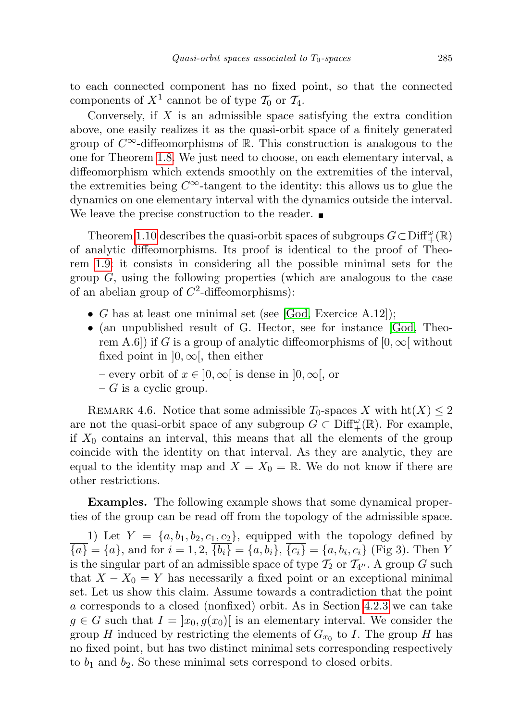to each connected component has no fixed point, so that the connected components of  $X^1$  cannot be of type  $\mathcal{T}_0$  or  $\mathcal{T}_4$ .

Conversely, if  $X$  is an admissible space satisfying the extra condition above, one easily realizes it as the quasi-orbit space of a finitely generated group of  $C^{\infty}$ -diffeomorphisms of R. This construction is analogous to the one for Theorem [1.8.](#page-4-0) We just need to choose, on each elementary interval, a diffeomorphism which extends smoothly on the extremities of the interval, the extremities being  $C^{\infty}$ -tangent to the identity: this allows us to glue the dynamics on one elementary interval with the dynamics outside the interval. We leave the precise construction to the reader.

Theorem [1.10](#page-4-1) describes the quasi-orbit spaces of subgroups  $G \subset \text{Diff}^{\omega}_+(\mathbb{R})$ of analytic diffeomorphisms. Its proof is identical to the proof of Theorem [1.9:](#page-4-2) it consists in considering all the possible minimal sets for the group  $G$ , using the following properties (which are analogous to the case of an abelian group of  $C^2$ -diffeomorphisms):

- G has at least one minimal set (see [\[God,](#page-24-9) Exercice A.12]);
- (an unpublished result of G. Hector, see for instance [\[God,](#page-24-9) Theorem A.6]) if G is a group of analytic diffeomorphisms of  $[0, \infty]$  without fixed point in  $[0, \infty)$ , then either
	- every orbit of  $x \in [0, \infty)$  is dense in  $[0, \infty)$ , or
	- $-G$  is a cyclic group.

REMARK 4.6. Notice that some admissible  $T_0$ -spaces X with  $\text{ht}(X) \leq 2$ are not the quasi-orbit space of any subgroup  $G \subset \text{Diff}^{\omega}_{+}(\mathbb{R})$ . For example, if  $X_0$  contains an interval, this means that all the elements of the group coincide with the identity on that interval. As they are analytic, they are equal to the identity map and  $X = X_0 = \mathbb{R}$ . We do not know if there are other restrictions.

Examples. The following example shows that some dynamical properties of the group can be read off from the topology of the admissible space.

1) Let  $Y = \{a, b_1, b_2, c_1, c_2\}$ , equipped with the topology defined by  ${a} = {a}$ , and for  $i = 1, 2, {b_i} = {a, b_i}$ ,  ${c_i} = {a, b_i, c_i}$  (Fig 3). Then Y is the singular part of an admissible space of type  $\mathcal{T}_2$  or  $\mathcal{T}_{4}$ . A group G such that  $X - X_0 = Y$  has necessarily a fixed point or an exceptional minimal set. Let us show this claim. Assume towards a contradiction that the point a corresponds to a closed (nonfixed) orbit. As in Section [4.2.3](#page-11-0) we can take  $g \in G$  such that  $I = [x_0, g(x_0)]$  is an elementary interval. We consider the group H induced by restricting the elements of  $G_{x_0}$  to I. The group H has no fixed point, but has two distinct minimal sets corresponding respectively to  $b_1$  and  $b_2$ . So these minimal sets correspond to closed orbits.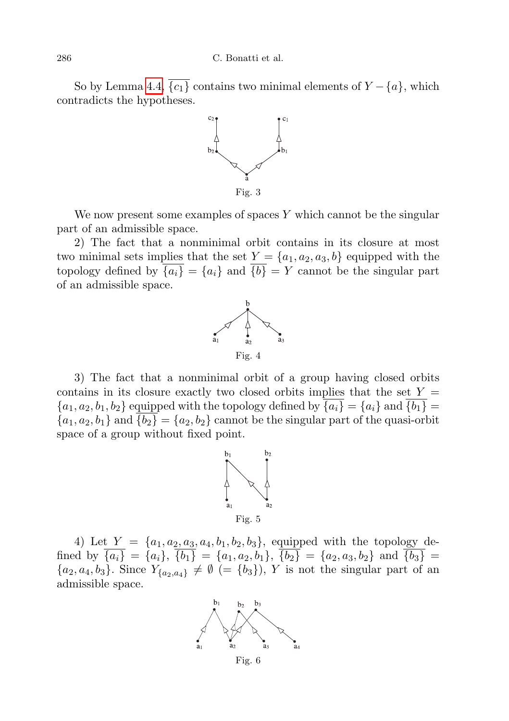So by Lemma [4.4,](#page-10-0)  $\overline{\{c_1\}}$  contains two minimal elements of  $Y - \{a\}$ , which contradicts the hypotheses.



We now present some examples of spaces  $Y$  which cannot be the singular part of an admissible space.

2) The fact that a nonminimal orbit contains in its closure at most two minimal sets implies that the set  $Y = \{a_1, a_2, a_3, b\}$  equipped with the topology defined by  $\overline{\{a_i\}} = \{a_i\}$  and  $\overline{\{b\}} = Y$  cannot be the singular part of an admissible space.



3) The fact that a nonminimal orbit of a group having closed orbits contains in its closure exactly two closed orbits implies that the set  $Y =$  ${a_1, a_2, b_1, b_2}$  equipped with the topology defined by  $\overline{\{a_i\}} = \{a_i\}$  and  $\overline{\{b_1\}} =$  ${a_1, a_2, b_1}$  and  $\overline{\{b_2\}} = {a_2, b_2}$  cannot be the singular part of the quasi-orbit space of a group without fixed point.



4) Let  $Y = \{a_1, a_2, a_3, a_4, b_1, b_2, b_3\}$ , equipped with the topology defined by  $\overline{\{a_i\}} = \overline{\{a_i\}}, \overline{\{b_1\}} = \{a_1, a_2, b_1\}, \overline{\{b_2\}} = \{a_2, a_3, b_2\}$  and  $\overline{\{b_3\}} =$  ${a_2, a_4, b_3}.$  Since  $Y_{a_2, a_4} \neq \emptyset$  (=  ${b_3}, Y$  is not the singular part of an admissible space.



Fig. 6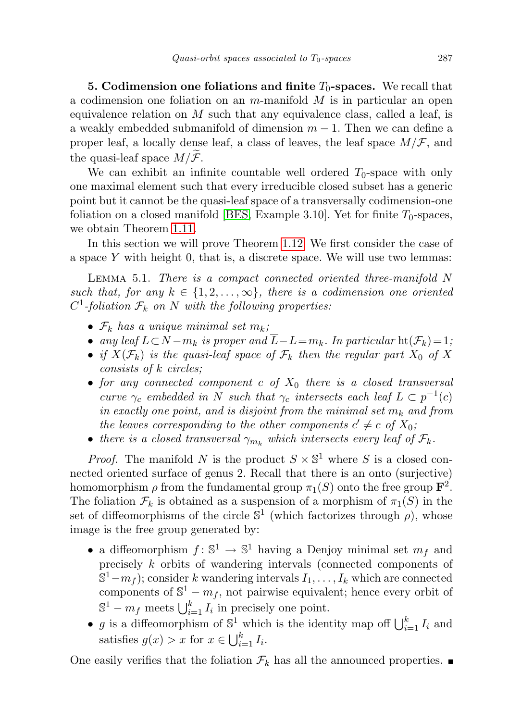**5. Codimension one foliations and finite**  $T_0$ **-spaces.** We recall that a codimension one foliation on an  $m$ -manifold  $M$  is in particular an open equivalence relation on  $M$  such that any equivalence class, called a leaf, is a weakly embedded submanifold of dimension  $m-1$ . Then we can define a proper leaf, a locally dense leaf, a class of leaves, the leaf space  $M/F$ , and the quasi-leaf space  $M/F$ .

We can exhibit an infinite countable well ordered  $T_0$ -space with only one maximal element such that every irreducible closed subset has a generic point but it cannot be the quasi-leaf space of a transversally codimension-one foliation on a closed manifold [\[BES,](#page-24-1) Example 3.10]. Yet for finite  $T_0$ -spaces, we obtain Theorem [1.11.](#page-5-0)

In this section we will prove Theorem [1.12.](#page-5-1) We first consider the case of a space  $Y$  with height 0, that is, a discrete space. We will use two lemmas:

<span id="page-20-0"></span>Lemma 5.1. There is a compact connected oriented three-manifold N such that, for any  $k \in \{1, 2, ..., \infty\}$ , there is a codimension one oriented  $C^1$ -foliation  $\mathcal{F}_k$  on N with the following properties:

- $\mathcal{F}_k$  has a unique minimal set  $m_k$ ;
- any leaf  $L\subset N-m_k$  is proper and  $\overline{L}-L=m_k$ . In particular  $\text{ht}(\mathcal{F}_k)=1$ ;
- if  $X(\mathcal{F}_k)$  is the quasi-leaf space of  $\mathcal{F}_k$  then the regular part  $X_0$  of X consists of k circles;
- for any connected component c of  $X_0$  there is a closed transversal curve  $\gamma_c$  embedded in N such that  $\gamma_c$  intersects each leaf  $L \subset p^{-1}(c)$ in exactly one point, and is disjoint from the minimal set  $m_k$  and from the leaves corresponding to the other components  $c' \neq c$  of  $X_0$ ;
- there is a closed transversal  $\gamma_{m_k}$  which intersects every leaf of  $\mathcal{F}_k$ .

*Proof.* The manifold N is the product  $S \times \mathbb{S}^1$  where S is a closed connected oriented surface of genus 2. Recall that there is an onto (surjective) homomorphism  $\rho$  from the fundamental group  $\pi_1(S)$  onto the free group  $\mathbf{F}^2$ . The foliation  $\mathcal{F}_k$  is obtained as a suspension of a morphism of  $\pi_1(S)$  in the set of diffeomorphisms of the circle  $\mathbb{S}^1$  (which factorizes through  $\rho$ ), whose image is the free group generated by:

- a diffeomorphism  $f: \mathbb{S}^1 \to \mathbb{S}^1$  having a Denjoy minimal set  $m_f$  and precisely k orbits of wandering intervals (connected components of  $\mathbb{S}^1 - m_f$ ); consider k wandering intervals  $I_1, \ldots, I_k$  which are connected components of  $\mathbb{S}^1 - m_f$ , not pairwise equivalent; hence every orbit of  $\mathbb{S}^1 - m_f$  meets  $\bigcup_{i=1}^k I_i$  in precisely one point.
- g is a diffeomorphism of  $\mathbb{S}^1$  which is the identity map off  $\bigcup_{i=1}^k I_i$  and satisfies  $g(x) > x$  for  $x \in \bigcup_{i=1}^k I_i$ .

<span id="page-20-1"></span>One easily verifies that the foliation  $\mathcal{F}_k$  has all the announced properties.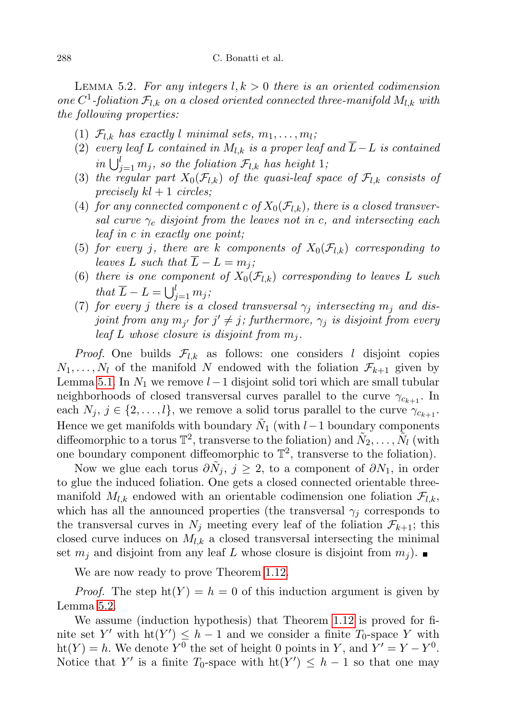LEMMA 5.2. For any integers  $l, k > 0$  there is an oriented codimension one  $C^1$ -foliation  $\mathcal{F}_{l,k}$  on a closed oriented connected three-manifold  $M_{l,k}$  with the following properties:

- (1)  $\mathcal{F}_{l,k}$  has exactly l minimal sets,  $m_1, \ldots, m_l$ ;
- (2) every leaf L contained in  $M_{l,k}$  is a proper leaf and  $\overline{L}-L$  is contained in  $\bigcup_{j=1}^{l} m_j$ , so the foliation  $\mathcal{F}_{l,k}$  has height 1;
- (3) the regular part  $X_0(\mathcal{F}_{l,k})$  of the quasi-leaf space of  $\mathcal{F}_{l,k}$  consists of precisely  $kl + 1$  circles;
- (4) for any connected component c of  $X_0(\mathcal{F}_{l,k})$ , there is a closed transversal curve  $\gamma_c$  disjoint from the leaves not in c, and intersecting each leaf in c in exactly one point;
- (5) for every j, there are k components of  $X_0(\mathcal{F}_{l,k})$  corresponding to leaves L such that  $\overline{L} - L = m_i$ ;
- (6) there is one component of  $X_0(\mathcal{F}_{l,k})$  corresponding to leaves L such that  $\overline{L} - L = \bigcup_{j=1}^{l} m_j;$
- (7) for every j there is a closed transversal  $\gamma_i$  intersecting  $m_i$  and disjoint from any  $m_{j'}$  for  $j' \neq j$ ; furthermore,  $\gamma_j$  is disjoint from every leaf L whose closure is disjoint from  $m_j$ .

*Proof.* One builds  $\mathcal{F}_{l,k}$  as follows: one considers l disjoint copies  $N_1, \ldots, N_l$  of the manifold N endowed with the foliation  $\mathcal{F}_{k+1}$  given by Lemma [5.1.](#page-20-0) In  $N_1$  we remove  $l-1$  disjoint solid tori which are small tubular neighborhoods of closed transversal curves parallel to the curve  $\gamma_{c_{k+1}}$ . In each  $N_j, j \in \{2, \ldots, l\}$ , we remove a solid torus parallel to the curve  $\gamma_{c_{k+1}}$ . Hence we get manifolds with boundary  $\tilde{N}_1$  (with  $l-1$  boundary components diffeomorphic to a torus  $\mathbb{T}^2$ , transverse to the foliation) and  $\tilde{N}_2, \ldots, \tilde{N}_l$  (with one boundary component diffeomorphic to  $\mathbb{T}^2$ , transverse to the foliation).

Now we glue each torus  $\partial \tilde{N}_j$ ,  $j \geq 2$ , to a component of  $\partial N_1$ , in order to glue the induced foliation. One gets a closed connected orientable threemanifold  $M_{l,k}$  endowed with an orientable codimension one foliation  $\mathcal{F}_{l,k}$ , which has all the announced properties (the transversal  $\gamma_i$  corresponds to the transversal curves in  $N_j$  meeting every leaf of the foliation  $\mathcal{F}_{k+1}$ ; this closed curve induces on  $M_{l,k}$  a closed transversal intersecting the minimal set  $m_j$  and disjoint from any leaf L whose closure is disjoint from  $m_j$ ).

We are now ready to prove Theorem [1.12.](#page-5-1)

*Proof.* The step  $ht(Y) = h = 0$  of this induction argument is given by Lemma [5.2.](#page-20-1)

We assume (induction hypothesis) that Theorem [1.12](#page-5-1) is proved for finite set Y' with  $\text{ht}(Y') \leq h-1$  and we consider a finite  $T_0$ -space Y with ht(Y) = h. We denote  $Y^0$  the set of height 0 points in Y, and  $Y' = Y - Y^0$ . Notice that Y' is a finite  $T_0$ -space with  $ht(Y') \leq h-1$  so that one may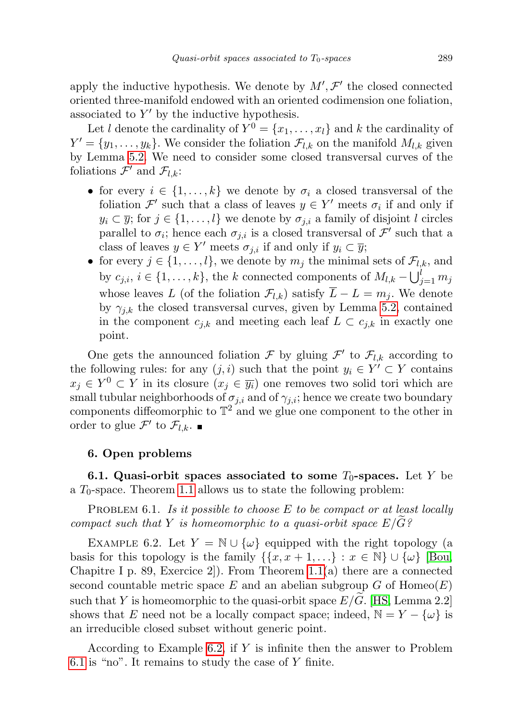apply the inductive hypothesis. We denote by  $M', \mathcal{F}'$  the closed connected oriented three-manifold endowed with an oriented codimension one foliation, associated to  $Y'$  by the inductive hypothesis.

Let l denote the cardinality of  $Y^0 = \{x_1, \ldots, x_l\}$  and k the cardinality of  $Y' = \{y_1, \ldots, y_k\}$ . We consider the foliation  $\mathcal{F}_{l,k}$  on the manifold  $M_{l,k}$  given by Lemma [5.2.](#page-20-1) We need to consider some closed transversal curves of the foliations  $\mathcal{F}'$  and  $\mathcal{F}_{l,k}$ :

- for every  $i \in \{1, ..., k\}$  we denote by  $\sigma_i$  a closed transversal of the foliation  $\mathcal{F}'$  such that a class of leaves  $y \in Y'$  meets  $\sigma_i$  if and only if  $y_i \subset \overline{y}$ ; for  $j \in \{1, ..., l\}$  we denote by  $\sigma_{j,i}$  a family of disjoint l circles parallel to  $\sigma_i$ ; hence each  $\sigma_{j,i}$  is a closed transversal of  $\mathcal{F}'$  such that a class of leaves  $y \in Y'$  meets  $\sigma_{j,i}$  if and only if  $y_i \subset \overline{y}$ ;
- for every  $j \in \{1, ..., l\}$ , we denote by  $m_j$  the minimal sets of  $\mathcal{F}_{l,k}$ , and by  $c_{j,i}, i \in \{1, \ldots, k\}$ , the k connected components of  $M_{l,k} - \bigcup_{j=1}^{l} m_j$ whose leaves L (of the foliation  $\mathcal{F}_{l,k}$ ) satisfy  $\overline{L} - L = m_j$ . We denote by  $\gamma_{j,k}$  the closed transversal curves, given by Lemma [5.2,](#page-20-1) contained in the component  $c_{j,k}$  and meeting each leaf  $L \subset c_{j,k}$  in exactly one point.

One gets the announced foliation  $\mathcal F$  by gluing  $\mathcal F'$  to  $\mathcal F_{l,k}$  according to the following rules: for any  $(j, i)$  such that the point  $y_i \in Y' \subset Y$  contains  $x_j \in Y^0 \subset Y$  in its closure  $(x_j \in \overline{y_i})$  one removes two solid tori which are small tubular neighborhoods of  $\sigma_{j,i}$  and of  $\gamma_{j,i}$ ; hence we create two boundary components diffeomorphic to  $\mathbb{T}^2$  and we glue one component to the other in order to glue  $\mathcal{F}'$  to  $\mathcal{F}_{l,k}$ .

## 6. Open problems

6.1. Quasi-orbit spaces associated to some  $T_0$ -spaces. Let Y be a  $T_0$ -space. Theorem [1.1](#page-1-1) allows us to state the following problem:

<span id="page-22-1"></span>PROBLEM 6.1. Is it possible to choose  $E$  to be compact or at least locally compact such that Y is homeomorphic to a quasi-orbit space  $E/\tilde{G}$ ?

<span id="page-22-0"></span>EXAMPLE 6.2. Let  $Y = \mathbb{N} \cup \{\omega\}$  equipped with the right topology (a basis for this topology is the family  $\{\{x, x + 1, ...\} : x \in \mathbb{N}\} \cup \{\omega\}$  [\[Bou,](#page-24-4) Chapitre I p. 89, Exercice 2. From Theorem [1.1\(](#page-1-1)a) there are a connected second countable metric space E and an abelian subgroup  $G$  of  $Homeo(E)$ such that Y is homeomorphic to the quasi-orbit space  $E/\widetilde{G}$ . [\[HS,](#page-24-0) Lemma 2.2] shows that E need not be a locally compact space; indeed,  $\mathbb{N} = Y - \{\omega\}$  is an irreducible closed subset without generic point.

According to Example [6.2,](#page-22-0) if Y is infinite then the answer to Problem [6.1](#page-22-1) is "no". It remains to study the case of  $Y$  finite.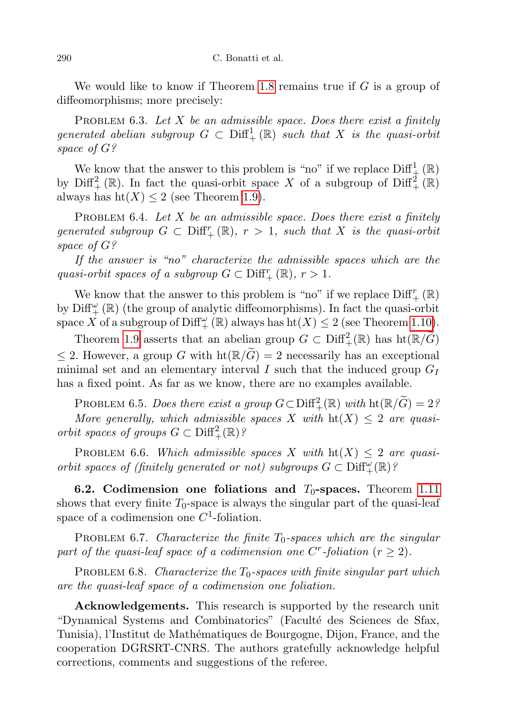We would like to know if Theorem [1.8](#page-4-0) remains true if  $G$  is a group of diffeomorphisms; more precisely:

PROBLEM 6.3. Let  $X$  be an admissible space. Does there exist a finitely generated abelian subgroup  $G \subset \text{Diff}^1_+(\mathbb{R})$  such that X is the quasi-orbit space of G?

We know that the answer to this problem is "no" if we replace  $\text{Diff}^1_{\frac{1}{\lambda}}(\mathbb{R})$ by  $\text{Diff}^2_+(\mathbb{R})$ . In fact the quasi-orbit space X of a subgroup of  $\text{Diff}^2_+(\mathbb{R})$ always has  $\text{ht}(X) \leq 2$  (see Theorem [1.9\)](#page-4-2).

PROBLEM 6.4. Let X be an admissible space. Does there exist a finitely generated subgroup  $G \subset \text{Diff}^r_+(\mathbb{R}), r > 1$ , such that X is the quasi-orbit space of G?

If the answer is "no" characterize the admissible spaces which are the quasi-orbit spaces of a subgroup  $G \subset \text{Diff}^r_+({\mathbb R}), r > 1$ .

We know that the answer to this problem is "no" if we replace  $\text{Diff}^r_+$  ( $\mathbb{R}$ ) by  $\mathrm{Diff}^{\omega}_{+}\left(\mathbb{R}\right)$  (the group of analytic diffeomorphisms). In fact the quasi-orbit space X of a subgroup of  $\mathrm{Diff}^{\omega}_{+}(\mathbb{R})$  always has  $\mathrm{ht}(X)\leq 2$  (see Theorem [1.10\)](#page-4-1).

Theorem [1.9](#page-4-2) asserts that an abelian group  $G \subset \text{Diff}^2_+(\mathbb{R})$  has  $\text{ht}(\mathbb{R}/\widetilde{G})$ ≤ 2. However, a group G with  $\text{ht}(\mathbb{R}/\widetilde{G})=2$  necessarily has an exceptional minimal set and an elementary interval I such that the induced group  $G_I$ has a fixed point. As far as we know, there are no examples available.

PROBLEM 6.5. Does there exist a group  $G \subset \text{Diff}^2_+(\mathbb{R})$  with  $\text{ht}(\mathbb{R}/\widetilde{G}) = 2\frac{\widetilde{G}}{G}$ More generally, which admissible spaces X with  $\text{ht}(X) \leq 2$  are quasiorbit spaces of groups  $G \subset \text{Diff}^2_+(\mathbb{R})$ ?

PROBLEM 6.6. Which admissible spaces X with  $\text{ht}(X) \leq 2$  are quasiorbit spaces of (finitely generated or not) subgroups  $G \subset \text{Diff}^{\omega}_{+}(\mathbb{R})$ ?

6.2. Codimension one foliations and  $T_0$ -spaces. Theorem [1.11](#page-5-0) shows that every finite  $T_0$ -space is always the singular part of the quasi-leaf space of a codimension one  $C^1$ -foliation.

**PROBLEM 6.7.** Characterize the finite  $T_0$ -spaces which are the singular part of the quasi-leaf space of a codimension one C<sup>r</sup>-foliation ( $r \geq 2$ ).

PROBLEM 6.8. Characterize the  $T_0$ -spaces with finite singular part which are the quasi-leaf space of a codimension one foliation.

Acknowledgements. This research is supported by the research unit "Dynamical Systems and Combinatorics" (Facult´e des Sciences de Sfax, Tunisia), l'Institut de Math´ematiques de Bourgogne, Dijon, France, and the cooperation DGRSRT-CNRS. The authors gratefully acknowledge helpful corrections, comments and suggestions of the referee.